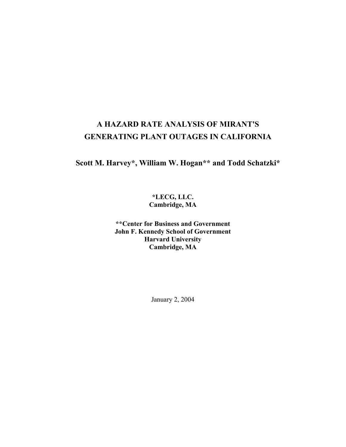# **A HAZARD RATE ANALYSIS OF MIRANT'S GENERATING PLANT OUTAGES IN CALIFORNIA**

# **Scott M. Harvey\*, William W. Hogan\*\* and Todd Schatzki\***

**\*LECG, LLC. Cambridge, MA** 

**\*\*Center for Business and Government John F. Kennedy School of Government Harvard University Cambridge, MA** 

January 2, 2004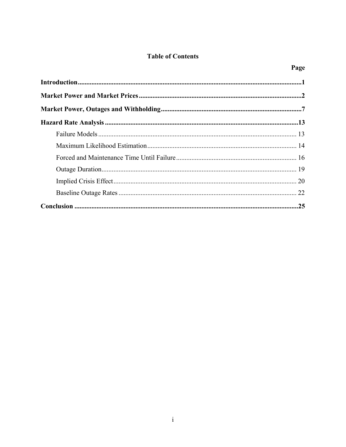# **Table of Contents**

Page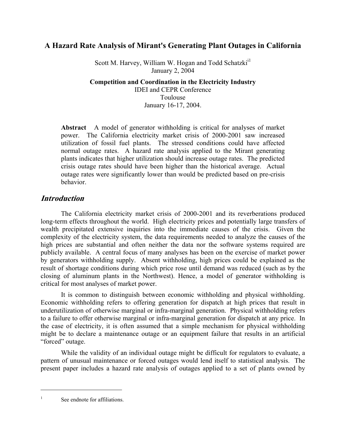# **A Hazard Rate Analysis of Mirant's Generating Plant Outages in California**

Scott M. Harvey, William W. Hogan and Todd Schatzki<sup>i1</sup> January 2, 2004

**Competition and Coordination in the Electricity Industry**  IDEI and CEPR Conference Toulouse January 16-17, 2004.

**Abstract** A model of generator withholding is critical for analyses of market power. The California electricity market crisis of 2000-2001 saw increased utilization of fossil fuel plants. The stressed conditions could have affected normal outage rates. A hazard rate analysis applied to the Mirant generating plants indicates that higher utilization should increase outage rates. The predicted crisis outage rates should have been higher than the historical average. Actual outage rates were significantly lower than would be predicted based on pre-crisis behavior.

# **Introduction**

 The California electricity market crisis of 2000-2001 and its reverberations produced long-term effects throughout the world. High electricity prices and potentially large transfers of wealth precipitated extensive inquiries into the immediate causes of the crisis. Given the complexity of the electricity system, the data requirements needed to analyze the causes of the high prices are substantial and often neither the data nor the software systems required are publicly available. A central focus of many analyses has been on the exercise of market power by generators withholding supply. Absent withholding, high prices could be explained as the result of shortage conditions during which price rose until demand was reduced (such as by the closing of aluminum plants in the Northwest). Hence, a model of generator withholding is critical for most analyses of market power.

 It is common to distinguish between economic withholding and physical withholding. Economic withholding refers to offering generation for dispatch at high prices that result in underutilization of otherwise marginal or infra-marginal generation. Physical withholding refers to a failure to offer otherwise marginal or infra-marginal generation for dispatch at any price. In the case of electricity, it is often assumed that a simple mechanism for physical withholding might be to declare a maintenance outage or an equipment failure that results in an artificial "forced" outage.

 While the validity of an individual outage might be difficult for regulators to evaluate, a pattern of unusual maintenance or forced outages would lend itself to statistical analysis. The present paper includes a hazard rate analysis of outages applied to a set of plants owned by

See endnote for affiliations.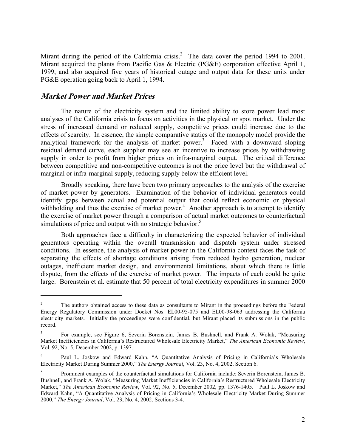Mirant during the period of the California crisis.<sup>2</sup> The data cover the period 1994 to 2001. Mirant acquired the plants from Pacific Gas & Electric (PG&E) corporation effective April 1, 1999, and also acquired five years of historical outage and output data for these units under PG&E operation going back to April 1, 1994.

## **Market Power and Market Prices**

 $\overline{a}$ 

 The nature of the electricity system and the limited ability to store power lead most analyses of the California crisis to focus on activities in the physical or spot market. Under the stress of increased demand or reduced supply, competitive prices could increase due to the effects of scarcity. In essence, the simple comparative statics of the monopoly model provide the analytical framework for the analysis of market power.<sup>3</sup> Faced with a downward sloping residual demand curve, each supplier may see an incentive to increase prices by withdrawing supply in order to profit from higher prices on infra-marginal output. The critical difference between competitive and non-competitive outcomes is not the price level but the withdrawal of marginal or infra-marginal supply, reducing supply below the efficient level.

 Broadly speaking, there have been two primary approaches to the analysis of the exercise of market power by generators. Examination of the behavior of individual generators could identify gaps between actual and potential output that could reflect economic or physical withholding and thus the exercise of market power.<sup>4</sup> Another approach is to attempt to identify the exercise of market power through a comparison of actual market outcomes to counterfactual simulations of price and output with no strategic behavior.<sup>5</sup>

 Both approaches face a difficulty in characterizing the expected behavior of individual generators operating within the overall transmission and dispatch system under stressed conditions. In essence, the analysis of market power in the California context faces the task of separating the effects of shortage conditions arising from reduced hydro generation, nuclear outages, inefficient market design, and environmental limitations, about which there is little dispute, from the effects of the exercise of market power. The impacts of each could be quite large. Borenstein et al. estimate that 50 percent of total electricity expenditures in summer 2000

<sup>2</sup> The authors obtained access to these data as consultants to Mirant in the proceedings before the Federal Energy Regulatory Commission under Docket Nos. EL00-95-075 and EL00-98-063 addressing the California electricity markets. Initially the proceedings were confidential, but Mirant placed its submissions in the public record.

<sup>3</sup> For example, see Figure 6, Severin Borenstein, James B. Bushnell, and Frank A. Wolak, "Measuring Market Inefficiencies in California's Restructured Wholesale Electricity Market," *The American Economic Review*, Vol. 92, No. 5, December 2002, p. 1397.

<sup>4</sup> Paul L. Joskow and Edward Kahn, "A Quantitative Analysis of Pricing in California's Wholesale Electricity Market During Summer 2000," *The Energy Journal*, Vol. 23, No. 4, 2002, Section 6.

<sup>5</sup> Prominent examples of the counterfactual simulations for California include: Severin Borenstein, James B. Bushnell, and Frank A. Wolak, "Measuring Market Inefficiencies in California's Restructured Wholesale Electricity Market," *The American Economic Review*, Vol. 92, No. 5, December 2002, pp. 1376-1405. Paul L. Joskow and Edward Kahn, "A Quantitative Analysis of Pricing in California's Wholesale Electricity Market During Summer 2000," *The Energy Journal*, Vol. 23, No. 4, 2002, Sections 3-4.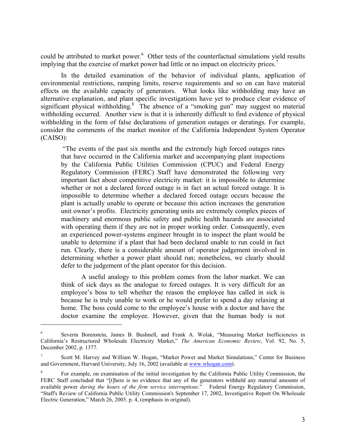could be attributed to market power.<sup>6</sup> Other tests of the counterfactual simulations yield results implying that the exercise of market power had little or no impact on electricity prices.<sup>7</sup>

 In the detailed examination of the behavior of individual plants, application of environmental restrictions, ramping limits, reserve requirements and so on can have material effects on the available capacity of generators. What looks like withholding may have an alternative explanation, and plant specific investigations have yet to produce clear evidence of significant physical withholding.<sup>8</sup> The absence of a "smoking gun" may suggest no material withholding occurred. Another view is that it is inherently difficult to find evidence of physical withholding in the form of false declarations of generation outages or deratings. For example, consider the comments of the market monitor of the California Independent System Operator (CAISO):

 "The events of the past six months and the extremely high forced outages rates that have occurred in the California market and accompanying plant inspections by the California Public Utilities Commission (CPUC) and Federal Energy Regulatory Commission (FERC) Staff have demonstrated the following very important fact about competitive electricity market: it is impossible to determine whether or not a declared forced outage is in fact an actual forced outage. It is impossible to determine whether a declared forced outage occurs because the plant is actually unable to operate or because this action increases the generation unit owner's profits. Electricity generating units are extremely complex pieces of machinery and enormous public safety and public health hazards are associated with operating them if they are not in proper working order. Consequently, even an experienced power-systems engineer brought in to inspect the plant would be unable to determine if a plant that had been declared unable to run could in fact run. Clearly, there is a considerable amount of operator judgement involved in determining whether a power plant should run; nonetheless, we clearly should defer to the judgement of the plant operator for this decision.

 A useful analogy to this problem comes from the labor market. We can think of sick days as the analogue to forced outages. It is very difficult for an employee's boss to tell whether the reason the employee has called in sick is because he is truly unable to work or he would prefer to spend a day relaxing at home. The boss could come to the employee's house with a doctor and have the doctor examine the employee. However, given that the human body is not

<sup>6</sup> Severin Borenstein, James B. Bushnell, and Frank A. Wolak, "Measuring Market Inefficiencies in California's Restructured Wholesale Electricity Market," *The American Economic Review*, Vol. 92, No. 5, December 2002, p. 1377.

<sup>7</sup> Scott M. Harvey and William W. Hogan, "Market Power and Market Simulations," Center for Business and Government, Harvard University, July 16, 2002 (available at www.whogan.com).

<sup>8</sup> For example, on examination of the initial investigation by the California Public Utility Commission, the FERC Staff concluded that "[t]here is no evidence that any of the generators withheld any material amounts of available power *during the hours of the firm service interruptions*." Federal Energy Regulatory Commission, "Staff's Review of California Public Utility Commission's September 17, 2002, Investigative Report On Wholesale Electric Generation," March 26, 2003. p. 4, (emphasis in original).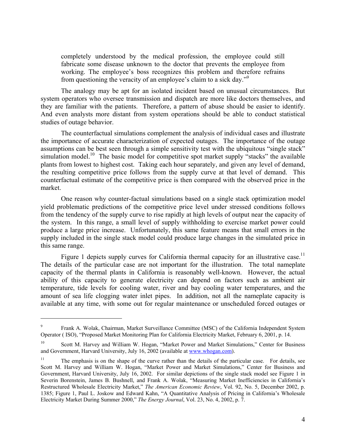completely understood by the medical profession, the employee could still fabricate some disease unknown to the doctor that prevents the employee from working. The employee's boss recognizes this problem and therefore refrains from questioning the veracity of an employee's claim to a sick day."<sup>9</sup>

 The analogy may be apt for an isolated incident based on unusual circumstances. But system operators who oversee transmission and dispatch are more like doctors themselves, and they are familiar with the patients. Therefore, a pattern of abuse should be easier to identify. And even analysts more distant from system operations should be able to conduct statistical studies of outage behavior.

 The counterfactual simulations complement the analysis of individual cases and illustrate the importance of accurate characterization of expected outages. The importance of the outage assumptions can be best seen through a simple sensitivity test with the ubiquitous "single stack" simulation model.<sup>10</sup> The basic model for competitive spot market supply "stacks" the available plants from lowest to highest cost. Taking each hour separately, and given any level of demand, the resulting competitive price follows from the supply curve at that level of demand. This counterfactual estimate of the competitive price is then compared with the observed price in the market.

One reason why counter-factual simulations based on a single stack optimization model yield problematic predictions of the competitive price level under stressed conditions follows from the tendency of the supply curve to rise rapidly at high levels of output near the capacity of the system. In this range, a small level of supply withholding to exercise market power could produce a large price increase. Unfortunately, this same feature means that small errors in the supply included in the single stack model could produce large changes in the simulated price in this same range.

Figure 1 depicts supply curves for California thermal capacity for an illustrative case.<sup>11</sup> The details of the particular case are not important for the illustration. The total nameplate capacity of the thermal plants in California is reasonably well-known. However, the actual ability of this capacity to generate electricity can depend on factors such as ambient air temperature, tide levels for cooling water, river and bay cooling water temperatures, and the amount of sea life clogging water inlet pipes. In addition, not all the nameplate capacity is available at any time, with some out for regular maintenance or unscheduled forced outages or

1

<sup>9</sup> Frank A. Wolak, Chairman, Market Surveillance Committee (MSC) of the California Independent System Operator ( ISO), "Proposed Market Monitoring Plan for California Electricity Market, February 6, 2001, p. 14.

Scott M. Harvey and William W. Hogan, "Market Power and Market Simulations," Center for Business and Government, Harvard University, July 16, 2002 (available at www.whogan.com).

<sup>&</sup>lt;sup>11</sup> The emphasis is on the shape of the curve rather than the details of the particular case. For details, see Scott M. Harvey and William W. Hogan, "Market Power and Market Simulations," Center for Business and Government, Harvard University, July 16, 2002. For similar depictions of the single stack model see Figure 1 in Severin Borenstein, James B. Bushnell, and Frank A. Wolak, "Measuring Market Inefficiencies in California's Restructured Wholesale Electricity Market," *The American Economic Review*, Vol. 92, No. 5, December 2002, p. 1385; Figure 1, Paul L. Joskow and Edward Kahn, "A Quantitative Analysis of Pricing in California's Wholesale Electricity Market During Summer 2000," *The Energy Journal*, Vol. 23, No. 4, 2002, p. 7.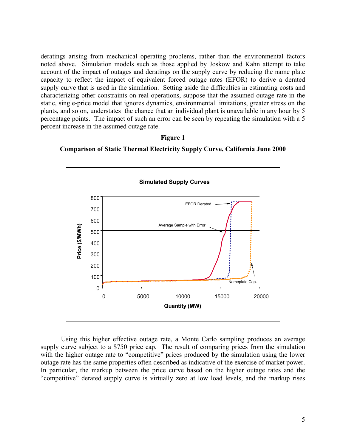deratings arising from mechanical operating problems, rather than the environmental factors noted above. Simulation models such as those applied by Joskow and Kahn attempt to take account of the impact of outages and deratings on the supply curve by reducing the name plate capacity to reflect the impact of equivalent forced outage rates (EFOR) to derive a derated supply curve that is used in the simulation. Setting aside the difficulties in estimating costs and characterizing other constraints on real operations, suppose that the assumed outage rate in the static, single-price model that ignores dynamics, environmental limitations, greater stress on the plants, and so on, understates the chance that an individual plant is unavailable in any hour by 5 percentage points. The impact of such an error can be seen by repeating the simulation with a 5 percent increase in the assumed outage rate.

### **Figure 1**





Using this higher effective outage rate, a Monte Carlo sampling produces an average supply curve subject to a \$750 price cap. The result of comparing prices from the simulation with the higher outage rate to "competitive" prices produced by the simulation using the lower outage rate has the same properties often described as indicative of the exercise of market power. In particular, the markup between the price curve based on the higher outage rates and the "competitive" derated supply curve is virtually zero at low load levels, and the markup rises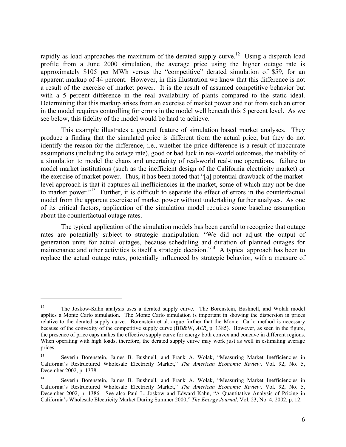rapidly as load approaches the maximum of the derated supply curve.<sup>12</sup> Using a dispatch load profile from a June 2000 simulation, the average price using the higher outage rate is approximately \$105 per MWh versus the "competitive" derated simulation of \$59, for an apparent markup of 44 percent. However, in this illustration we know that this difference is not a result of the exercise of market power. It is the result of assumed competitive behavior but with a 5 percent difference in the real availability of plants compared to the static ideal. Determining that this markup arises from an exercise of market power and not from such an error in the model requires controlling for errors in the model well beneath this 5 percent level. As we see below, this fidelity of the model would be hard to achieve.

This example illustrates a general feature of simulation based market analyses. They produce a finding that the simulated price is different from the actual price, but they do not identify the reason for the difference, i.e., whether the price difference is a result of inaccurate assumptions (including the outage rate), good or bad luck in real-world outcomes, the inability of a simulation to model the chaos and uncertainty of real-world real-time operations, failure to model market institutions (such as the inefficient design of the California electricity market) or the exercise of market power. Thus, it has been noted that "[a] potential drawback of the marketlevel approach is that it captures all inefficiencies in the market, some of which may not be due to market power."<sup>13</sup> Further, it is difficult to separate the effect of errors in the counterfactual model from the apparent exercise of market power without undertaking further analyses. As one of its critical factors, application of the simulation model requires some baseline assumption about the counterfactual outage rates.

The typical application of the simulation models has been careful to recognize that outage rates are potentially subject to strategic manipulation: "We did not adjust the output of generation units for actual outages, because scheduling and duration of planned outages for maintenance and other activities is itself a strategic decision."<sup>14</sup> A typical approach has been to replace the actual outage rates, potentially influenced by strategic behavior, with a measure of

<sup>12</sup> The Joskow-Kahn analysis uses a derated supply curve. The Borenstein, Bushnell, and Wolak model applies a Monte Carlo simulation. The Monte Carlo simulation is important in showing the dispersion in prices relative to the derated supply curve. Borenstein et al. argue further that the Monte Carlo method is necessary because of the convexity of the competitive supply curve (BB&W, *AER*, p. 1385). However, as seen in the figure, the presence of price caps makes the effective supply curve for energy both convex and concave in different regions. When operating with high loads, therefore, the derated supply curve may work just as well in estimating average prices.

<sup>13</sup> Severin Borenstein, James B. Bushnell, and Frank A. Wolak, "Measuring Market Inefficiencies in California's Restructured Wholesale Electricity Market," *The American Economic Review*, Vol. 92, No. 5, December 2002, p. 1378.

<sup>14</sup> Severin Borenstein, James B. Bushnell, and Frank A. Wolak, "Measuring Market Inefficiencies in California's Restructured Wholesale Electricity Market," *The American Economic Review*, Vol. 92, No. 5, December 2002, p. 1386. See also Paul L. Joskow and Edward Kahn, "A Quantitative Analysis of Pricing in California's Wholesale Electricity Market During Summer 2000," *The Energy Journal*, Vol. 23, No. 4, 2002, p. 12.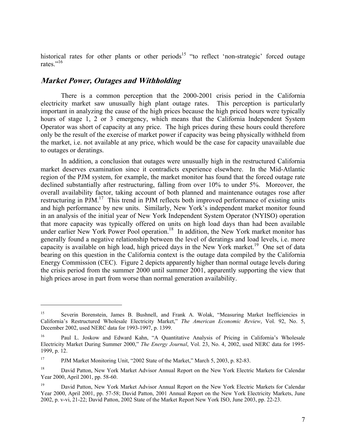historical rates for other plants or other periods<sup>15</sup> "to reflect 'non-strategic' forced outage rates $"$ <sup>16</sup>

### **Market Power, Outages and Withholding**

 $\overline{a}$ 

 There is a common perception that the 2000-2001 crisis period in the California electricity market saw unusually high plant outage rates. This perception is particularly important in analyzing the cause of the high prices because the high priced hours were typically hours of stage 1, 2 or 3 emergency, which means that the California Independent System Operator was short of capacity at any price. The high prices during these hours could therefore only be the result of the exercise of market power if capacity was being physically withheld from the market, i.e. not available at any price, which would be the case for capacity unavailable due to outages or deratings.

In addition, a conclusion that outages were unusually high in the restructured California market deserves examination since it contradicts experience elsewhere. In the Mid-Atlantic region of the PJM system, for example, the market monitor has found that the forced outage rate declined substantially after restructuring, falling from over 10% to under 5%. Moreover, the overall availability factor, taking account of both planned and maintenance outages rose after restructuring in PJM.<sup>17</sup> This trend in PJM reflects both improved performance of existing units and high performance by new units. Similarly, New York's independent market monitor found in an analysis of the initial year of New York Independent System Operator (NYISO) operation that more capacity was typically offered on units on high load days than had been available under earlier New York Power Pool operation.<sup>18</sup> In addition, the New York market monitor has generally found a negative relationship between the level of deratings and load levels, i.e. more capacity is available on high load, high priced days in the New York market.<sup>19</sup> One set of data bearing on this question in the California context is the outage data compiled by the California Energy Commission (CEC). Figure 2 depicts apparently higher than normal outage levels during the crisis period from the summer 2000 until summer 2001, apparently supporting the view that high prices arose in part from worse than normal generation availability.

<sup>&</sup>lt;sup>15</sup> Severin Borenstein, James B. Bushnell, and Frank A. Wolak, "Measuring Market Inefficiencies in California's Restructured Wholesale Electricity Market," *The American Economic Review*, Vol. 92, No. 5, December 2002, used NERC data for 1993-1997, p. 1399.

<sup>&</sup>lt;sup>16</sup> Paul L. Joskow and Edward Kahn, "A Quantitative Analysis of Pricing in California's Wholesale Electricity Market During Summer 2000," *The Energy Journal*, Vol. 23, No. 4, 2002, used NERC data for 1995- 1999, p. 12.

<sup>17</sup> PJM Market Monitoring Unit, "2002 State of the Market," March 5, 2003, p. 82-83.

<sup>&</sup>lt;sup>18</sup> David Patton, New York Market Advisor Annual Report on the New York Electric Markets for Calendar Year 2000, April 2001, pp. 58-60.

<sup>&</sup>lt;sup>19</sup> David Patton, New York Market Advisor Annual Report on the New York Electric Markets for Calendar Year 2000, April 2001, pp. 57-58; David Patton, 2001 Annual Report on the New York Electricity Markets, June 2002, p. v-vi, 21-22; David Patton, 2002 State of the Market Report New York ISO, June 2003, pp. 22-23.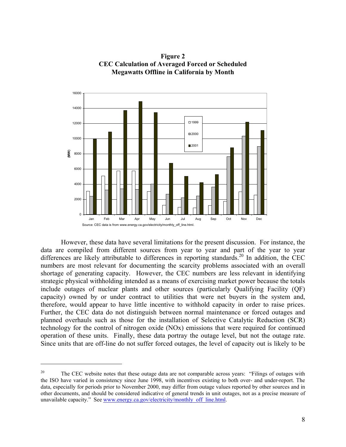

**Figure 2 CEC Calculation of Averaged Forced or Scheduled Megawatts Offline in California by Month** 

However, these data have several limitations for the present discussion. For instance, the data are compiled from different sources from year to year and part of the year to year differences are likely attributable to differences in reporting standards.<sup>20</sup> In addition, the CEC numbers are most relevant for documenting the scarcity problems associated with an overall shortage of generating capacity. However, the CEC numbers are less relevant in identifying strategic physical withholding intended as a means of exercising market power because the totals include outages of nuclear plants and other sources (particularly Qualifying Facility (QF) capacity) owned by or under contract to utilities that were net buyers in the system and, therefore, would appear to have little incentive to withhold capacity in order to raise prices. Further, the CEC data do not distinguish between normal maintenance or forced outages and planned overhauls such as those for the installation of Selective Catalytic Reduction (SCR) technology for the control of nitrogen oxide (NOx) emissions that were required for continued operation of these units. Finally, these data portray the outage level, but not the outage rate. Since units that are off-line do not suffer forced outages, the level of capacity out is likely to be

<sup>&</sup>lt;sup>20</sup> The CEC website notes that these outage data are not comparable across years: "Filings of outages with the ISO have varied in consistency since June 1998, with incentives existing to both over- and under-report. The data, especially for periods prior to November 2000, may differ from outage values reported by other sources and in other documents, and should be considered indicative of general trends in unit outages, not as a precise measure of unavailable capacity." See www.energy.ca.gov/electricity/monthly off line.html.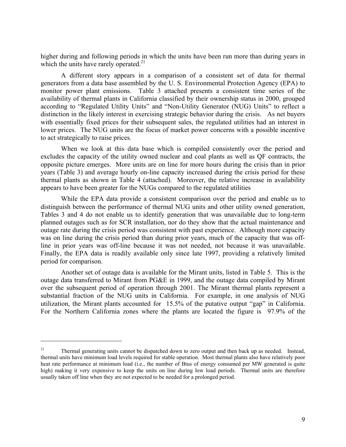higher during and following periods in which the units have been run more than during years in which the units have rarely operated. $21$ 

A different story appears in a comparison of a consistent set of data for thermal generators from a data base assembled by the U. S. Environmental Protection Agency (EPA) to monitor power plant emissions. Table 3 attached presents a consistent time series of the availability of thermal plants in California classified by their ownership status in 2000, grouped according to "Regulated Utility Units" and "Non-Utility Generator (NUG) Units" to reflect a distinction in the likely interest in exercising strategic behavior during the crisis. As net buyers with essentially fixed prices for their subsequent sales, the regulated utilities had an interest in lower prices. The NUG units are the focus of market power concerns with a possible incentive to act strategically to raise prices.

When we look at this data base which is compiled consistently over the period and excludes the capacity of the utility owned nuclear and coal plants as well as QF contracts, the opposite picture emerges. More units are on line for more hours during the crisis than in prior years (Table 3) and average hourly on-line capacity increased during the crisis period for these thermal plants as shown in Table 4 (attached). Moreover, the relative increase in availability appears to have been greater for the NUGs compared to the regulated utilities

While the EPA data provide a consistent comparison over the period and enable us to distinguish between the performance of thermal NUG units and other utility owned generation, Tables 3 and 4 do not enable us to identify generation that was unavailable due to long-term planned outages such as for SCR installation, nor do they show that the actual maintenance and outage rate during the crisis period was consistent with past experience. Although more capacity was on line during the crisis period than during prior years, much of the capacity that was offline in prior years was off-line because it was not needed, not because it was unavailable. Finally, the EPA data is readily available only since late 1997, providing a relatively limited period for comparison.

Another set of outage data is available for the Mirant units, listed in Table 5. This is the outage data transferred to Mirant from PG&E in 1999, and the outage data compiled by Mirant over the subsequent period of operation through 2001. The Mirant thermal plants represent a substantial fraction of the NUG units in California. For example, in one analysis of NUG utilization, the Mirant plants accounted for 15.5% of the putative output "gap" in California. For the Northern California zones where the plants are located the figure is 97.9% of the

<sup>&</sup>lt;sup>21</sup> Thermal generating units cannot be dispatched down to zero output and then back up as needed. Instead, thermal units have minimum load levels required for stable operation. Most thermal plants also have relatively poor heat rate performance at minimum load (i.e., the number of Btus of energy consumed per MW generated is quite high) making it very expensive to keep the units on line during low load periods. Thermal units are therefore usually taken off line when they are not expected to be needed for a prolonged period.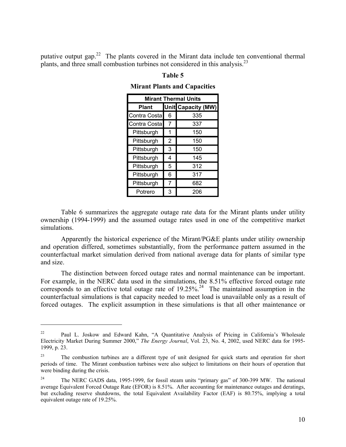putative output gap.<sup>22</sup> The plants covered in the Mirant data include ten conventional thermal plants, and three small combustion turbines not considered in this analysis.<sup>23</sup>

| <b>Mirant Thermal Units</b> |   |                           |  |  |  |  |  |  |  |  |  |
|-----------------------------|---|---------------------------|--|--|--|--|--|--|--|--|--|
| <b>Plant</b>                |   | <b>Unit Capacity (MW)</b> |  |  |  |  |  |  |  |  |  |
| Contra Costa                | 6 | 335                       |  |  |  |  |  |  |  |  |  |
| Contra Costa                | 7 | 337                       |  |  |  |  |  |  |  |  |  |
| Pittsburgh                  | 1 | 150                       |  |  |  |  |  |  |  |  |  |
| Pittsburgh                  | 2 | 150                       |  |  |  |  |  |  |  |  |  |
| Pittsburgh                  | 3 | 150                       |  |  |  |  |  |  |  |  |  |
| Pittsburgh                  | 4 | 145                       |  |  |  |  |  |  |  |  |  |
| Pittsburgh                  | 5 | 312                       |  |  |  |  |  |  |  |  |  |
| Pittsburgh                  | 6 | 317                       |  |  |  |  |  |  |  |  |  |
| Pittsburgh                  | 7 | 682                       |  |  |  |  |  |  |  |  |  |
| Potrero                     | 3 | 206                       |  |  |  |  |  |  |  |  |  |

#### **Table 5**

### **Mirant Plants and Capacities**

Table 6 summarizes the aggregate outage rate data for the Mirant plants under utility ownership (1994-1999) and the assumed outage rates used in one of the competitive market simulations.

Apparently the historical experience of the Mirant/PG&E plants under utility ownership and operation differed, sometimes substantially, from the performance pattern assumed in the counterfactual market simulation derived from national average data for plants of similar type and size.

The distinction between forced outage rates and normal maintenance can be important. For example, in the NERC data used in the simulations, the 8.51% effective forced outage rate corresponds to an effective total outage rate of  $19.25\%$ <sup>24</sup>. The maintained assumption in the counterfactual simulations is that capacity needed to meet load is unavailable only as a result of forced outages. The explicit assumption in these simulations is that all other maintenance or

1

<sup>22</sup> Paul L. Joskow and Edward Kahn, "A Quantitative Analysis of Pricing in California's Wholesale Electricity Market During Summer 2000," *The Energy Journal*, Vol. 23, No. 4, 2002, used NERC data for 1995- 1999, p. 23.

<sup>&</sup>lt;sup>23</sup> The combustion turbines are a different type of unit designed for quick starts and operation for short periods of time. The Mirant combustion turbines were also subject to limitations on their hours of operation that were binding during the crisis.

<sup>24</sup> The NERC GADS data, 1995-1999, for fossil steam units "primary gas" of 300-399 MW. The national average Equivalent Forced Outage Rate (EFOR) is 8.51%. After accounting for maintenance outages and deratings, but excluding reserve shutdowns, the total Equivalent Availability Factor (EAF) is 80.75%, implying a total equivalent outage rate of 19.25%.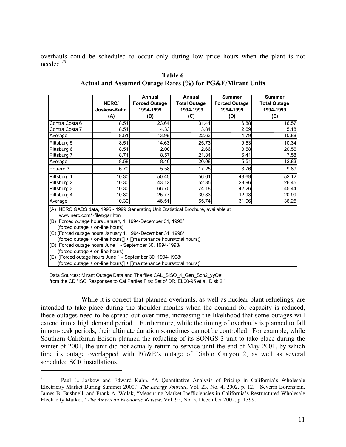overhauls could be scheduled to occur only during low price hours when the plant is not needed.25

|                                                                                                                    |             | Annual                                                               | Annual              | <b>Summer</b>        | <b>Summer</b>       |
|--------------------------------------------------------------------------------------------------------------------|-------------|----------------------------------------------------------------------|---------------------|----------------------|---------------------|
|                                                                                                                    | NERC/       | <b>Forced Outage</b>                                                 | <b>Total Outage</b> | <b>Forced Outage</b> | <b>Total Outage</b> |
|                                                                                                                    | Joskow-Kahn | 1994-1999                                                            | 1994-1999           | 1994-1999            | 1994-1999           |
|                                                                                                                    | (A)         | (B)                                                                  | (C)                 | (D)                  | (E)                 |
| Contra Costa 6                                                                                                     | 8.51        | 23.64                                                                | 31.41               | 6.88                 | 16.57               |
| Contra Costa 7                                                                                                     | 8.51        | 4.33                                                                 | 13.84               | 2.69                 | 5.18                |
| Average                                                                                                            | 8.51        | 13.99                                                                | 22.63               | 4.79                 | 10.88               |
| Pittsburg 5                                                                                                        | 8.51        | 14.63                                                                | 25.73               | 9.53                 | 10.34               |
| Pittsburg 6                                                                                                        | 8.51        | 2.00                                                                 | 12.66               | 0.58                 | 20.56               |
| Pittsburg 7                                                                                                        | 8.71        | 8.57                                                                 | 21.84               | 6.41                 | 7.58                |
| Average                                                                                                            | 8.58        | 8.40                                                                 | 20.08               | 5.51                 | 12.83               |
| Potrero 3                                                                                                          | 6.70        | 5.58                                                                 | 17.25               | 3.76                 | 9.89                |
| Pittsburg 1                                                                                                        | 10.30       | 50.45                                                                | 56.61               | 48.69                | 52.12               |
| Pittsburg 2                                                                                                        | 10.30       | 43.12                                                                | 52.35               | 23.96                | 26.45               |
| Pittsburg 3                                                                                                        | 10.30       | 66.70                                                                | 74.18               | 42.26                | 45.44               |
| Pittsburg 4                                                                                                        | 10.30       | 25.77                                                                | 39.83               | 12.93                | 20.99               |
| Average                                                                                                            | 10.30       | 46.51                                                                | 55.74               | 31.96                | 36.25               |
| (A) NERC GADS data, 1995 - 1999 Generating Unit Statistical Brochure, available at<br>www.nerc.com/~filez/gar.html |             |                                                                      |                     |                      |                     |
| (B) Forced outage hours January 1, 1994-December 31, 1998/                                                         |             |                                                                      |                     |                      |                     |
| (forced outage + on-line hours)                                                                                    |             |                                                                      |                     |                      |                     |
| (C) [Forced outage hours January 1, 1994-December 31, 1998/                                                        |             |                                                                      |                     |                      |                     |
|                                                                                                                    |             | (forced outage + on-line hours)] + [(maintenance hours/total hours)] |                     |                      |                     |
| (D) Forced outage hours June 1 - September 30, 1994-1998/                                                          |             |                                                                      |                     |                      |                     |
| (forced outage + on-line hours)                                                                                    |             |                                                                      |                     |                      |                     |
| (E) [Forced outage hours June 1 - September 30, 1994-1998/                                                         |             |                                                                      |                     |                      |                     |
|                                                                                                                    |             | (forced outage + on-line hours)] + [(maintenance hours/total hours)] |                     |                      |                     |

**Table 6 Actual and Assumed Outage Rates (%) for PG&E/Mirant Units** 

Data Sources: Mirant Outage Data and The files CAL\_SISO\_4\_Gen\_Sch2\_yyQ# from the CD "ISO Responses to Cal Parties First Set of DR, EL00-95 et al, Disk 2."

 $\overline{a}$ 

 While it is correct that planned overhauls, as well as nuclear plant refuelings, are intended to take place during the shoulder months when the demand for capacity is reduced, these outages need to be spread out over time, increasing the likelihood that some outages will extend into a high demand period. Furthermore, while the timing of overhauls is planned to fall in non-peak periods, their ultimate duration sometimes cannot be controlled. For example, while Southern California Edison planned the refueling of its SONGS 3 unit to take place during the winter of 2001, the unit did not actually return to service until the end of May 2001, by which time its outage overlapped with PG&E's outage of Diablo Canyon 2, as well as several scheduled SCR installations.

<sup>&</sup>lt;sup>25</sup> Paul L. Joskow and Edward Kahn, "A Quantitative Analysis of Pricing in California's Wholesale Electricity Market During Summer 2000," *The Energy Journal*, Vol. 23, No. 4, 2002, p. 12. Severin Borenstein, James B. Bushnell, and Frank A. Wolak, "Measuring Market Inefficiencies in California's Restructured Wholesale Electricity Market," *The American Economic Review*, Vol. 92, No. 5, December 2002, p. 1399.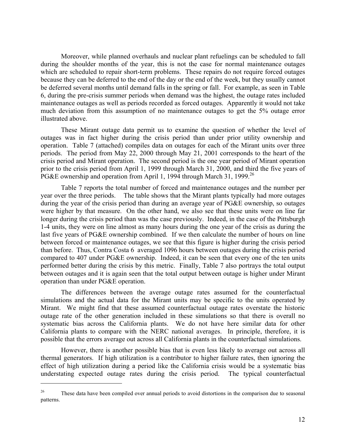Moreover, while planned overhauls and nuclear plant refuelings can be scheduled to fall during the shoulder months of the year, this is not the case for normal maintenance outages which are scheduled to repair short-term problems. These repairs do not require forced outages because they can be deferred to the end of the day or the end of the week, but they usually cannot be deferred several months until demand falls in the spring or fall. For example, as seen in Table 6, during the pre-crisis summer periods when demand was the highest, the outage rates included maintenance outages as well as periods recorded as forced outages. Apparently it would not take much deviation from this assumption of no maintenance outages to get the 5% outage error illustrated above.

These Mirant outage data permit us to examine the question of whether the level of outages was in fact higher during the crisis period than under prior utility ownership and operation. Table 7 (attached) compiles data on outages for each of the Mirant units over three periods. The period from May 22, 2000 through May 21, 2001 corresponds to the heart of the crisis period and Mirant operation. The second period is the one year period of Mirant operation prior to the crisis period from April 1, 1999 through March 31, 2000, and third the five years of PG&E ownership and operation from April 1, 1994 through March 31, 1999.<sup>26</sup>

Table 7 reports the total number of forced and maintenance outages and the number per year over the three periods. The table shows that the Mirant plants typically had more outages during the year of the crisis period than during an average year of PG&E ownership, so outages were higher by that measure. On the other hand, we also see that these units were on line far longer during the crisis period than was the case previously. Indeed, in the case of the Pittsburgh 1-4 units, they were on line almost as many hours during the one year of the crisis as during the last five years of PG&E ownership combined. If we then calculate the number of hours on line between forced or maintenance outages, we see that this figure is higher during the crisis period than before. Thus, Contra Costa 6 averaged 1096 hours between outages during the crisis period compared to 407 under PG&E ownership. Indeed, it can be seen that every one of the ten units performed better during the crisis by this metric. Finally, Table 7 also portrays the total output between outages and it is again seen that the total output between outage is higher under Mirant operation than under PG&E operation.

 The differences between the average outage rates assumed for the counterfactual simulations and the actual data for the Mirant units may be specific to the units operated by Mirant. We might find that these assumed counterfactual outage rates overstate the historic outage rate of the other generation included in these simulations so that there is overall no systematic bias across the California plants. We do not have here similar data for other California plants to compare with the NERC national averages. In principle, therefore, it is possible that the errors average out across all California plants in the counterfactual simulations.

However, there is another possible bias that is even less likely to average out across all thermal generators. If high utilization is a contributor to higher failure rates, then ignoring the effect of high utilization during a period like the California crisis would be a systematic bias understating expected outage rates during the crisis period. The typical counterfactual

<sup>&</sup>lt;sup>26</sup> These data have been compiled over annual periods to avoid distortions in the comparison due to seasonal patterns.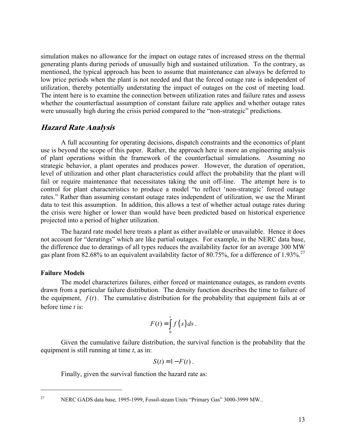simulation makes no allowance for the impact on outage rates of increased stress on the thermal generating plants during periods of unusually high and sustained utilization. To the contrary, as mentioned, the typical approach has been to assume that maintenance can always be deferred to low price periods when the plant is not needed and that the forced outage rate is independent of utilization, thereby potentially understating the impact of outages on the cost of meeting load. The intent here is to examine the connection between utilization rates and failure rates and assess whether the counterfactual assumption of constant failure rate applies and whether outage rates were unusually high during the crisis period compared to the "non-strategic" predictions.

### **Hazard Rate Analysis**

A full accounting for operating decisions, dispatch constraints and the economics of plant use is beyond the scope of this paper. Rather, the approach here is more an engineering analysis of plant operations within the framework of the counterfactual simulations. Assuming no strategic behavior, a plant operates and produces power. However, the duration of operation, level of utilization and other plant characteristics could affect the probability that the plant will fail or require maintenance that necessitates taking the unit off-line. The attempt here is to control for plant characteristics to produce a model "to reflect 'non-strategic' forced outage rates." Rather than assuming constant outage rates independent of utilization, we use the Mirant data to test this assumption. In addition, this allows a test of whether actual outage rates during the crisis were higher or lower than would have been predicted based on historical experience projected into a period of higher utilization.

The hazard rate model here treats a plant as either available or unavailable. Hence it does not account for "deratings" which are like partial outages. For example, in the NERC data base, the difference due to deratings of all types reduces the availability factor for an average 300 MW gas plant from 82.68% to an equivalent availability factor of 80.75%, for a difference of 1.93%.<sup>27</sup>

#### **Failure Models**

The model characterizes failures, either forced or maintenance outages, as random events drawn from a particular failure distribution. The density function describes the time to failure of the equipment,  $f(t)$ . The cumulative distribution for the probability that equipment fails at or before time *t* is:

$$
F(t) = \int_{0}^{t} f(s) ds.
$$

 Given the cumulative failure distribution, the survival function is the probability that the equipment is still running at time *t*, as in:

$$
S(t) = 1 - F(t).
$$

Finally, given the survival function the hazard rate as:

<u>.</u>

<sup>27</sup> NERC GADS data base, 1995-1999, Fossil-steam Units "Primary Gas" 3000-3999 MW..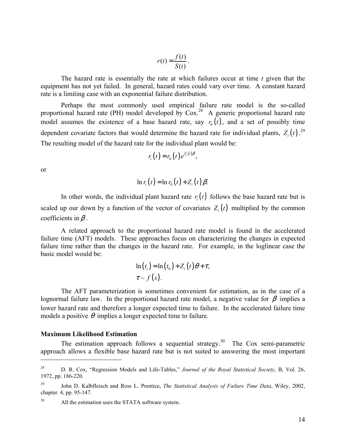$$
r(t) = \frac{f(t)}{S(t)}.
$$

The hazard rate is essentially the rate at which failures occur at time *t* given that the equipment has not yet failed. In general, hazard rates could vary over time. A constant hazard rate is a limiting case with an exponential failure distribution.

Perhaps the most commonly used empirical failure rate model is the so-called proportional hazard rate (PH) model developed by  $Cox.<sup>28</sup>$  A generic proportional hazard rate model assumes the existence of a base hazard rate, say  $r_0(t)$ , and a set of possibly time dependent covariate factors that would determine the hazard rate for individual plants,  $Z_i(t)$ .<sup>29</sup> The resulting model of the hazard rate for the individual plant would be:

$$
r_i(t) = r_0(t) e^{Z_i(t)\beta},
$$

or

1

$$
\ln r_i(t) = \ln r_0(t) + Z_i(t) \beta.
$$

In other words, the individual plant hazard rate  $r_i(t)$  follows the base hazard rate but is scaled up our down by a function of the vector of covariates  $Z_i(t)$  multiplied by the common coefficients in  $\beta$ .

A related approach to the proportional hazard rate model is found in the accelerated failure time (AFT) models. These approaches focus on characterizing the changes in expected failure time rather than the changes in the hazard rate. For example, in the loglinear case the basic model would be:

$$
\ln(t_i) = \ln(t_0) + Z_i(t)\theta + \tau,
$$
  
\n
$$
\tau \sim f(s).
$$

 The AFT parameterization is sometimes convenient for estimation, as in the case of a lognormal failure law. In the proportional hazard rate model, a negative value for  $\beta$  implies a lower hazard rate and therefore a longer expected time to failure. In the accelerated failure time models a positive  $\theta$  implies a longer expected time to failure.

#### **Maximum Likelihood Estimation**

The estimation approach follows a sequential strategy.<sup>30</sup> The Cox semi-parametric approach allows a flexible base hazard rate but is not suited to answering the most important

<sup>28</sup> D. R. Cox, "Regression Models and Life-Tables," *Journal of the Royal Statistical Society*, B, Vol. 26, 1972, pp. 186-220.

<sup>29</sup> John D. Kalbfleisch and Ross L. Prentice, *The Statistical Analysis of Failure Time Data*, Wiley, 2002, chapter. 4, pp. 95-147.

<sup>&</sup>lt;sup>30</sup> All the estimation uses the STATA software system.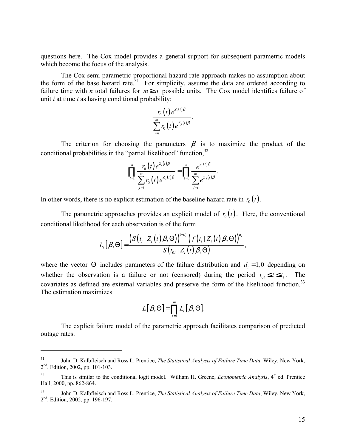questions here. The Cox model provides a general support for subsequent parametric models which become the focus of the analysis.

The Cox semi-parametric proportional hazard rate approach makes no assumption about the form of the base hazard rate.<sup>31</sup> For simplicity, assume the data are ordered according to failure time with *n* total failures for  $m \ge n$  possible units. The Cox model identifies failure of unit *i* at time *t* as having conditional probability:

$$
\frac{r_0(t)e^{Z_i(t)\beta}}{\sum_{j=i}^m r_0(t)e^{Z_j(t)\beta}}.
$$

The criterion for choosing the parameters  $\beta$  is to maximize the product of the conditional probabilities in the "partial likelihood" function,  $32$ 

$$
\prod_{i=1}^n \frac{r_0(t) e^{Z_i(t)\beta}}{\sum_{j=i}^m r_0(t) e^{Z_j(t)\beta}} = \prod_{i=1}^n \frac{e^{Z_i(t)\beta}}{\sum_{j=i}^m e^{Z_j(t)\beta}}.
$$

In other words, there is no explicit estimation of the baseline hazard rate in  $r_0(t)$ .

The parametric approaches provides an explicit model of  $r_0(t)$ . Here, the conventional conditional likelihood for each observation is of the form

$$
L_i[\beta,\Theta] = \frac{\big(S\big(t_i\,|\,Z_i(t)\,\beta,\Theta\big)\big)^{1-d_i}\big(f\big(t_i\,|\,Z_i(t)\,\beta,\Theta\big)\big)^{d_i}}{S\big(t_{0i}\,|\,Z_i(t)\,\beta,\Theta\big)},
$$

where the vector  $\Theta$  includes parameters of the failure distribution and  $d_i = 1,0$  depending on whether the observation is a failure or not (censored) during the period  $t_0 \le t \le t_i$ . The covariates as defined are external variables and preserve the form of the likelihood function.<sup>33</sup> The estimation maximizes

$$
L[\beta,\Theta] = \prod_{i=1}^m L_i[\beta,\Theta].
$$

 The explicit failure model of the parametric approach facilitates comparison of predicted outage rates.

<sup>31</sup> John D. Kalbfleisch and Ross L. Prentice, *The Statistical Analysis of Failure Time Data,* Wiley, New York, 2nd. Edition, 2002, pp. 101-103.

<sup>&</sup>lt;sup>32</sup> This is similar to the conditional logit model. William H. Greene, *Econometric Analysis*, 4<sup>th</sup> ed. Prentice Hall, 2000, pp. 862-864.

<sup>33</sup> John D. Kalbfleisch and Ross L. Prentice, *The Statistical Analysis of Failure Time Data*, Wiley, New York,  $2<sup>nd</sup>$ . Edition, 2002, pp. 196-197.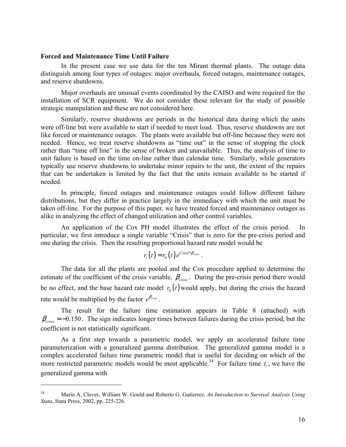#### **Forced and Maintenance Time Until Failure**

 $\overline{a}$ 

In the present case we use data for the ten Mirant thermal plants. The outage data distinguish among four types of outages: major overhauls, forced outages, maintenance outages, and reserve shutdowns.

Major overhauls are unusual events coordinated by the CAISO and were required for the installation of SCR equipment. We do not consider these relevant for the study of possible strategic manipulation and these are not considered here.

Similarly, reserve shutdowns are periods in the historical data during which the units were off-line but were available to start if needed to meet load. Thus, reserve shutdowns are not like forced or maintenance outages. The plants were available but off-line because they were not needed. Hence, we treat reserve shutdowns as "time out" in the sense of stopping the clock rather than "time off line" in the sense of broken and unavailable. Thus, the analysis of time to unit failure is based on the time on-line rather than calendar time. Similarly, while generators typically use reserve shutdowns to undertake minor repairs to the unit, the extent of the repairs that can be undertaken is limited by the fact that the units remain available to be started if needed.

In principle, forced outages and maintenance outages could follow different failure distributions, but they differ in practice largely in the immediacy with which the unit must be taken off-line. For the purpose of this paper, we have treated forced and maintenance outages as alike in analyzing the effect of changed utilization and other control variables.

An application of the Cox PH model illustrates the effect of the crisis period. In particular, we first introduce a single variable "Crisis" that is zero for the pre-crisis period and one during the crisis. Then the resulting proportional hazard rate model would be

$$
r_i(t) = r_0(t) e^{Crisis^*\beta_{crisis}}.
$$

 The data for all the plants are pooled and the Cox procedure applied to determine the estimate of the coefficient of the crisis variable,  $\beta_{cris}$ . During the pre-crisis period there would be no effect, and the base hazard rate model  $r_0(t)$  would apply, but during the crisis the hazard rate would be multiplied by the factor  $e^{\beta_{crisis}}$ .

 The result for the failure time estimation appears in Table 8 (attached) with  $\beta_{crisis} = -0.150$ . The sign indicates longer times between failures during the crisis period, but the coefficient is not statistically significant.

As a first step towards a parametric model, we apply an accelerated failure time parameterization with a generalized gamma distribution. The generalized gamma model is a complex accelerated failure time parametric model that is useful for deciding on which of the more restricted parametric models would be most applicable.<sup>34</sup> For failure time  $t_i$ , we have the generalized gamma with

<sup>34</sup> Mario A. Cleves, William W. Gould and Roberto G. Gutierrez, *An Introduction to Survival Analysis Using Stata*, Stata Press, 2002, pp. 225-226.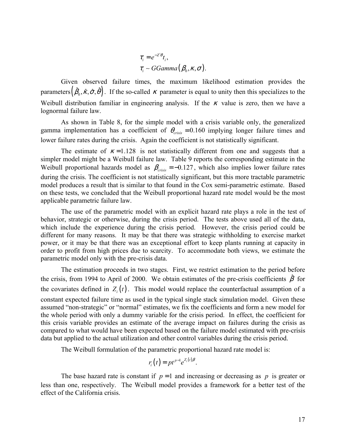$$
\tau_i = e^{-Z'\theta} t_i,
$$
  
\n
$$
\tau_i \sim GGamma(\beta_0, \kappa, \sigma).
$$

Given observed failure times, the maximum likelihood estimation provides the parameters  $(\hat{\beta}_0, \hat{\kappa}, \hat{\sigma}, \hat{\theta})$ . If the so-called  $\kappa$  parameter is equal to unity then this specializes to the Weibull distribution familiar in engineering analysis. If the  $\kappa$  value is zero, then we have a lognormal failure law.

As shown in Table 8, for the simple model with a crisis variable only, the generalized gamma implementation has a coefficient of  $\theta_{crisk} = 0.160$  implying longer failure times and lower failure rates during the crisis. Again the coefficient is not statistically significant.

The estimate of  $\kappa = 1.128$  is not statistically different from one and suggests that a simpler model might be a Weibull failure law. Table 9 reports the corresponding estimate in the Weibull proportional hazards model as  $\beta_{crisis} = -0.127$ , which also implies lower failure rates during the crisis. The coefficient is not statistically significant, but this more tractable parametric model produces a result that is similar to that found in the Cox semi-parametric estimate. Based on these tests, we concluded that the Weibull proportional hazard rate model would be the most applicable parametric failure law.

The use of the parametric model with an explicit hazard rate plays a role in the test of behavior, strategic or otherwise, during the crisis period. The tests above used all of the data, which include the experience during the crisis period. However, the crisis period could be different for many reasons. It may be that there was strategic withholding to exercise market power, or it may be that there was an exceptional effort to keep plants running at capacity in order to profit from high prices due to scarcity. To accommodate both views, we estimate the parametric model only with the pre-crisis data.

The estimation proceeds in two stages. First, we restrict estimation to the period before the crisis, from 1994 to April of 2000. We obtain estimates of the pre-crisis coefficients  $\hat{\beta}$  for the covariates defined in  $Z_i(t)$ . This model would replace the counterfactual assumption of a constant expected failure time as used in the typical single stack simulation model. Given these assumed "non-strategic" or "normal" estimates, we fix the coefficients and form a new model for the whole period with only a dummy variable for the crisis period. In effect, the coefficient for this crisis variable provides an estimate of the average impact on failures during the crisis as compared to what would have been expected based on the failure model estimated with pre-crisis data but applied to the actual utilization and other control variables during the crisis period.

The Weibull formulation of the parametric proportional hazard rate model is:

$$
r_i(t) = pt^{p-1}e^{Z_i(t)\beta}.
$$

The base hazard rate is constant if  $p = 1$  and increasing or decreasing as p is greater or less than one, respectively. The Weibull model provides a framework for a better test of the effect of the California crisis.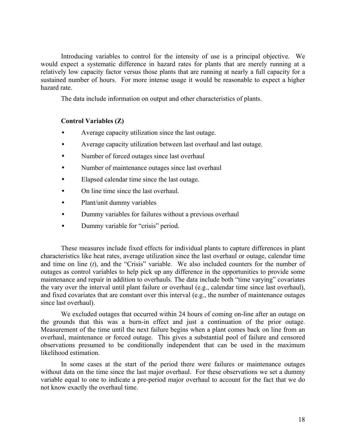Introducing variables to control for the intensity of use is a principal objective. We would expect a systematic difference in hazard rates for plants that are merely running at a relatively low capacity factor versus those plants that are running at nearly a full capacity for a sustained number of hours. For more intense usage it would be reasonable to expect a higher hazard rate.

The data include information on output and other characteristics of plants.

### **Control Variables (Z)**

- Average capacity utilization since the last outage.
- Average capacity utilization between last overhaul and last outage.
- Number of forced outages since last overhaul
- Number of maintenance outages since last overhaul
- Elapsed calendar time since the last outage.
- On line time since the last overhaul.
- Plant/unit dummy variables
- Dummy variables for failures without a previous overhaul
- Dummy variable for "crisis" period.

 These measures include fixed effects for individual plants to capture differences in plant characteristics like heat rates, average utilization since the last overhaul or outage, calendar time and time on line (*t*), and the "Crisis" variable. We also included counters for the number of outages as control variables to help pick up any difference in the opportunities to provide some maintenance and repair in addition to overhauls. The data include both "time varying" covariates the vary over the interval until plant failure or overhaul (e.g., calendar time since last overhaul), and fixed covariates that are constant over this interval (e.g., the number of maintenance outages since last overhaul).

We excluded outages that occurred within 24 hours of coming on-line after an outage on the grounds that this was a burn-in effect and just a continuation of the prior outage. Measurement of the time until the next failure begins when a plant comes back on line from an overhaul, maintenance or forced outage. This gives a substantial pool of failure and censored observations presumed to be conditionally independent that can be used in the maximum likelihood estimation.

 In some cases at the start of the period there were failures or maintenance outages without data on the time since the last major overhaul. For these observations we set a dummy variable equal to one to indicate a pre-period major overhaul to account for the fact that we do not know exactly the overhaul time.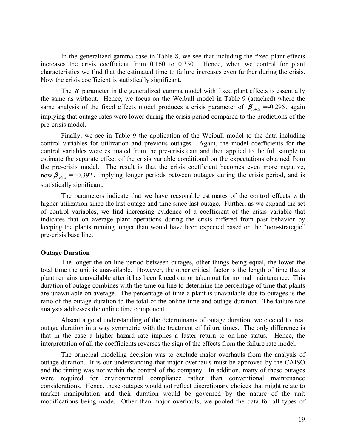In the generalized gamma case in Table 8, we see that including the fixed plant effects increases the crisis coefficient from 0.160 to 0.350. Hence, when we control for plant characteristics we find that the estimated time to failure increases even further during the crisis. Now the crisis coefficient is statistically significant.

The  $\kappa$  parameter in the generalized gamma model with fixed plant effects is essentially the same as without. Hence, we focus on the Weibull model in Table 9 (attached) where the same analysis of the fixed effects model produces a crisis parameter of  $\beta_{crisis} = -0.295$ , again implying that outage rates were lower during the crisis period compared to the predictions of the pre-crisis model.

 Finally, we see in Table 9 the application of the Weibull model to the data including control variables for utilization and previous outages. Again, the model coefficients for the control variables were estimated from the pre-crisis data and then applied to the full sample to estimate the separate effect of the crisis variable conditional on the expectations obtained from the pre-crisis model. The result is that the crisis coefficient becomes even more negative, now  $\beta_{crisis} = -0.392$ , implying longer periods between outages during the crisis period, and is statistically significant.

The parameters indicate that we have reasonable estimates of the control effects with higher utilization since the last outage and time since last outage. Further, as we expand the set of control variables, we find increasing evidence of a coefficient of the crisis variable that indicates that on average plant operations during the crisis differed from past behavior by keeping the plants running longer than would have been expected based on the "non-strategic" pre-crisis base line.

#### **Outage Duration**

The longer the on-line period between outages, other things being equal, the lower the total time the unit is unavailable. However, the other critical factor is the length of time that a plant remains unavailable after it has been forced out or taken out for normal maintenance. This duration of outage combines with the time on line to determine the percentage of time that plants are unavailable on average. The percentage of time a plant is unavailable due to outages is the ratio of the outage duration to the total of the online time and outage duration. The failure rate analysis addresses the online time component.

Absent a good understanding of the determinants of outage duration, we elected to treat outage duration in a way symmetric with the treatment of failure times. The only difference is that in the case a higher hazard rate implies a faster return to on-line status. Hence, the interpretation of all the coefficients reverses the sign of the effects from the failure rate model.

The principal modeling decision was to exclude major overhauls from the analysis of outage duration. It is our understanding that major overhauls must be approved by the CAISO and the timing was not within the control of the company. In addition, many of these outages were required for environmental compliance rather than conventional maintenance considerations. Hence, these outages would not reflect discretionary choices that might relate to market manipulation and their duration would be governed by the nature of the unit modifications being made. Other than major overhauls, we pooled the data for all types of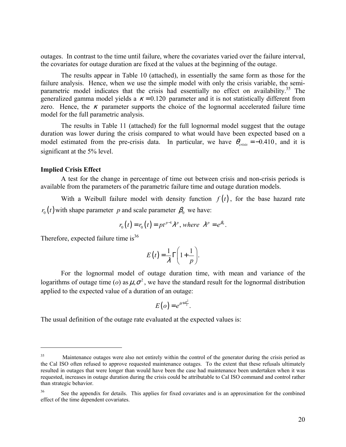outages. In contrast to the time until failure, where the covariates varied over the failure interval, the covariates for outage duration are fixed at the values at the beginning of the outage.

The results appear in Table 10 (attached), in essentially the same form as those for the failure analysis. Hence, when we use the simple model with only the crisis variable, the semiparametric model indicates that the crisis had essentially no effect on availability.<sup>35</sup> The generalized gamma model yields a  $\kappa = 0.120$  parameter and it is not statistically different from zero. Hence, the  $\kappa$  parameter supports the choice of the lognormal accelerated failure time model for the full parametric analysis.

The results in Table 11 (attached) for the full lognormal model suggest that the outage duration was lower during the crisis compared to what would have been expected based on a model estimated from the pre-crisis data. In particular, we have  $\theta_{\text{crisis}} = -0.410$ , and it is significant at the 5% level.

#### **Implied Crisis Effect**

 $\overline{a}$ 

A test for the change in percentage of time out between crisis and non-crisis periods is available from the parameters of the parametric failure time and outage duration models.

With a Weibull failure model with density function  $f(t)$ , for the base hazard rate  $r_0(t)$  with shape parameter *p* and scale parameter  $\beta_0$  we have:

$$
r_0(t) = r_0(t) = pt^{p-1} \lambda^p, where \lambda^p = e^{\beta_0}.
$$

Therefore, expected failure time is $36$ 

$$
E(t) = \frac{1}{\lambda} \Gamma\left(1 + \frac{1}{p}\right).
$$

For the lognormal model of outage duration time, with mean and variance of the logarithms of outage time (*o*) as  $\mu$ , $\sigma^2$ , we have the standard result for the lognormal distribution applied to the expected value of a duration of an outage:

$$
E(o) = e^{\mu + \frac{\sigma^2}{2}}.
$$

The usual definition of the outage rate evaluated at the expected values is:

<sup>&</sup>lt;sup>35</sup> Maintenance outages were also not entirely within the control of the generator during the crisis period as the Cal ISO often refused to approve requested maintenance outages. To the extent that these refusals ultimately resulted in outages that were longer than would have been the case had maintenance been undertaken when it was requested, increases in outage duration during the crisis could be attributable to Cal ISO command and control rather than strategic behavior.

<sup>&</sup>lt;sup>36</sup> See the appendix for details. This applies for fixed covariates and is an approximation for the combined effect of the time dependent covariates.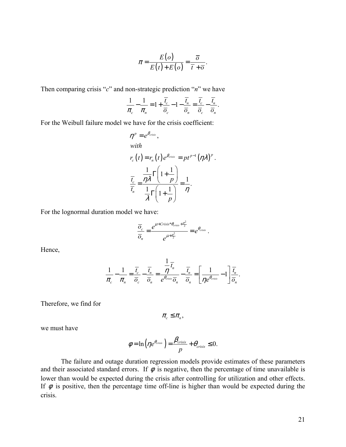$$
\pi = \frac{E(o)}{E(t) + E(o)} = \frac{\overline{o}}{\overline{t} + \overline{o}}.
$$

Then comparing crisis "*c*" and non-strategic prediction "*n*" we have

$$
\frac{1}{\pi_c} - \frac{1}{\pi_n} = 1 + \frac{\overline{t_c}}{\overline{o}_c} - 1 - \frac{\overline{t_n}}{\overline{o}_n} = \frac{\overline{t_c}}{\overline{o}_c} - \frac{\overline{t_n}}{\overline{o}_n}.
$$

For the Weibull failure model we have for the crisis coefficient:

$$
\eta^{p} = e^{\beta_{crisis}},
$$
  
with  

$$
r_c(t) = r_n(t) e^{\beta_{criss}} = pt^{p-1} (\eta \lambda)^p.
$$

$$
\frac{\overline{t_c}}{\overline{t_n}} = \frac{\eta \lambda}{\frac{1}{\lambda} \Gamma(1 + \frac{1}{p})} = \frac{1}{\eta}.
$$

For the lognormal duration model we have:

$$
\frac{\overline{O}_c}{\overline{O}_n} = \frac{e^{\mu + Crisis^*\theta_{criss} + \frac{\sigma^2}{2}}}{e^{\mu + \frac{\sigma^2}{2}}} = e^{\theta_{crisis}}.
$$

Hence,

$$
\frac{1}{\pi_c} - \frac{1}{\pi_n} = \frac{\overline{t_c}}{\overline{o}_c} - \frac{\overline{t_n}}{\overline{o}_n} = \frac{\overline{1}}{e^{\theta_{crists}} \overline{o}_n} - \frac{\overline{t_n}}{\overline{o}_n} = \left[\frac{1}{\eta e^{\theta_{crists}}} - 1\right] \frac{\overline{t_n}}{\overline{o}_n}.
$$

Therefore, we find for

 $\pi_{c} \leq \pi_{n}$ 

we must have

$$
\phi = \ln \left( \eta e^{\theta_{crisis}} \right) = \frac{\beta_{crisis}}{p} + \theta_{crisis} \leq 0.
$$

The failure and outage duration regression models provide estimates of these parameters and their associated standard errors. If  $\phi$  is negative, then the percentage of time unavailable is lower than would be expected during the crisis after controlling for utilization and other effects. If  $\phi$  is positive, then the percentage time off-line is higher than would be expected during the crisis.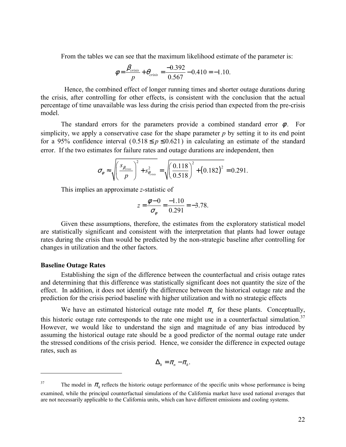From the tables we can see that the maximum likelihood estimate of the parameter is:

$$
\phi = \frac{\beta_{\text{crisis}}}{p} + \theta_{\text{crisis}} = \frac{-0.392}{0.567} - 0.410 = -1.10.
$$

 Hence, the combined effect of longer running times and shorter outage durations during the crisis, after controlling for other effects, is consistent with the conclusion that the actual percentage of time unavailable was less during the crisis period than expected from the pre-crisis model.

The standard errors for the parameters provide a combined standard error  $\phi$ . For simplicity, we apply a conservative case for the shape parameter  $p$  by setting it to its end point for a 95% confidence interval  $(0.518 \le p \le 0.621)$  in calculating an estimate of the standard error. If the two estimates for failure rates and outage durations are independent, then

$$
\sigma_{\phi} \approx \sqrt{\left(\frac{s_{\beta_{crisis}}}{p}\right)^2 + s_{\theta_{crisis}}^2} = \sqrt{\left(\frac{0.118}{0.518}\right)^2 + (0.182)^2} = 0.291.
$$

This implies an approximate *z*-statistic of

$$
z = \frac{\phi - 0}{\sigma_{\phi}} = \frac{-1.10}{0.291} = -3.78.
$$

 Given these assumptions, therefore, the estimates from the exploratory statistical model are statistically significant and consistent with the interpretation that plants had lower outage rates during the crisis than would be predicted by the non-strategic baseline after controlling for changes in utilization and the other factors.

#### **Baseline Outage Rates**

 $\overline{a}$ 

 Establishing the sign of the difference between the counterfactual and crisis outage rates and determining that this difference was statistically significant does not quantity the size of the effect. In addition, it does not identify the difference between the historical outage rate and the prediction for the crisis period baseline with higher utilization and with no strategic effects

We have an estimated historical outage rate model  $\pi$ <sup>*h*</sup> for these plants. Conceptually, this historic outage rate corresponds to the rate one might use in a counterfactual simulation.<sup>37</sup> However, we would like to understand the sign and magnitude of any bias introduced by assuming the historical outage rate should be a good predictor of the normal outage rate under the stressed conditions of the crisis period. Hence, we consider the difference in expected outage rates, such as

$$
\Delta_h = \pi_n - \pi_h.
$$

<sup>&</sup>lt;sup>37</sup> The model in  $\pi_h$  reflects the historic outage performance of the specific units whose performance is being examined, while the principal counterfactual simulations of the California market have used national averages that are not necessarily applicable to the California units, which can have different emissions and cooling systems.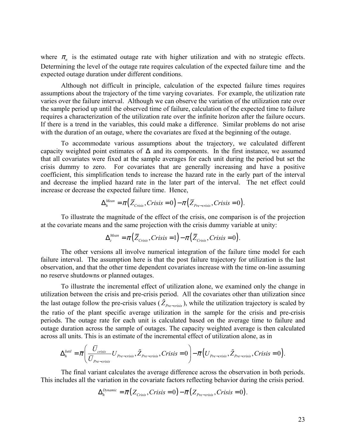where  $\pi$ <sub>n</sub> is the estimated outage rate with higher utilization and with no strategic effects. Determining the level of the outage rate requires calculation of the expected failure time and the expected outage duration under different conditions.

 Although not difficult in principle, calculation of the expected failure times requires assumptions about the trajectory of the time varying covariates. For example, the utilization rate varies over the failure interval. Although we can observe the variation of the utilization rate over the sample period up until the observed time of failure, calculation of the expected time to failure requires a characterization of the utilization rate over the infinite horizon after the failure occurs. If there is a trend in the variables, this could make a difference. Similar problems do not arise with the duration of an outage, where the covariates are fixed at the beginning of the outage.

 To accommodate various assumptions about the trajectory, we calculated different capacity weighted point estimates of  $\Delta$  and its components. In the first instance, we assumed that all covariates were fixed at the sample averages for each unit during the period but set the crisis dummy to zero. For covariates that are generally increasing and have a positive coefficient, this simplification tends to increase the hazard rate in the early part of the interval and decrease the implied hazard rate in the later part of the interval. The net effect could increase or decrease the expected failure time. Hence,

$$
\Delta_h^{\text{Mean}} = \pi \left( \overline{Z}_{\text{Crisis}}, \text{Crisis} = 0 \right) - \pi \left( \overline{Z}_{\text{Pre-crisis}}, \text{Crisis} = 0 \right).
$$

 To illustrate the magnitude of the effect of the crisis, one comparison is of the projection at the covariate means and the same projection with the crisis dummy variable at unity:

$$
\Delta_c^{\text{Mean}} = \pi \left( \overline{Z}_{\text{Crisis}}, \text{Crisis} = 1 \right) - \pi \left( \overline{Z}_{\text{Crisis}}, \text{Crisis} = 0 \right).
$$

 The other versions all involve numerical integration of the failure time model for each failure interval. The assumption here is that the post failure trajectory for utilization is the last observation, and that the other time dependent covariates increase with the time on-line assuming no reserve shutdowns or planned outages.

 To illustrate the incremental effect of utilization alone, we examined only the change in utilization between the crisis and pre-crisis period. All the covariates other than utilization since the last outage follow the pre-crisis values ( $\tilde{Z}_{pre-cric,}$ ), while the utilization trajectory is scaled by the ratio of the plant specific average utilization in the sample for the crisis and pre-crisis periods. The outage rate for each unit is calculated based on the average time to failure and outage duration across the sample of outages. The capacity weighted average is then calculated across all units. This is an estimate of the incremental effect of utilization alone, as in

$$
\Delta_h^{lutil} = \overline{\pi} \Bigg( \frac{\overline{U}_{crisis}}{\overline{U}_{Pre-crisis}} U_{Pre-crisis}, \tilde{Z}_{Pre-crisis}, Crisis = 0 \Bigg) - \overline{\pi} \Big( U_{Pre-crisis}, \tilde{Z}_{Pre-crisis}, Crisis = 0 \Bigg).
$$

 The final variant calculates the average difference across the observation in both periods. This includes all the variation in the covariate factors reflecting behavior during the crisis period.

$$
\Delta_h^{Dynamic} = \overline{\pi} (Z_{Crisis}, Crisis = 0) - \overline{\pi} (Z_{Pre-crisis}, Crisis = 0).
$$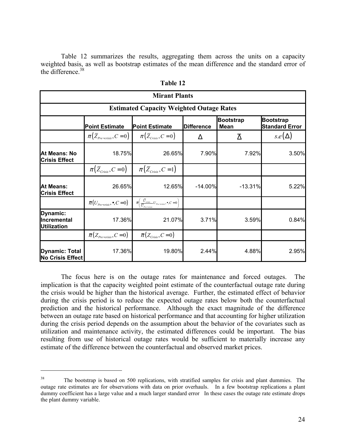Table 12 summarizes the results, aggregating them across the units on a capacity weighted basis, as well as bootstrap estimates of the mean difference and the standard error of the difference.<sup>38</sup>

|                                                  | <b>Mirant Plants</b>                                          |                                                                                                |                   |                                 |                                           |  |  |  |  |  |  |  |  |
|--------------------------------------------------|---------------------------------------------------------------|------------------------------------------------------------------------------------------------|-------------------|---------------------------------|-------------------------------------------|--|--|--|--|--|--|--|--|
|                                                  | <b>Estimated Capacity Weighted Outage Rates</b>               |                                                                                                |                   |                                 |                                           |  |  |  |  |  |  |  |  |
|                                                  | <b>Point Estimate</b>                                         | <b>Point Estimate</b>                                                                          | <b>Difference</b> | <b>Bootstrap</b><br><b>Mean</b> | <b>Bootstrap</b><br><b>Standard Error</b> |  |  |  |  |  |  |  |  |
|                                                  | $\pi(\bar{Z}_{Pre-crisis}, C=0)$ $\pi(\bar{Z}_{crisis}, C=0)$ |                                                                                                | Δ                 | $\overline{\Delta}$             | $s.e(\Delta)$                             |  |  |  |  |  |  |  |  |
| At Means: No<br><b>Crisis Effect</b>             | 18.75%                                                        | 26.65%                                                                                         | 7.90%             | 7.92%                           | 3.50%                                     |  |  |  |  |  |  |  |  |
|                                                  | $\pi(\bar{Z}_{\text{Crisis}}, C=0)$                           | $\pi(\bar{Z}_{\text{Crisis}}, C=1)$                                                            |                   |                                 |                                           |  |  |  |  |  |  |  |  |
| <b>At Means:</b><br><b>Crisis Effect</b>         | 26.65%                                                        | 12.65%                                                                                         | $-14.00\%$        | $-13.31%$                       | 5.22%                                     |  |  |  |  |  |  |  |  |
|                                                  | $\bar{\pi}(U_{Pre-crisis}, \bullet, C=0)$                     | $\overline{\pi}\left(\frac{U_{crisis}}{\overline{U}_{\tau}}-U_{Pre-crisis},\bullet,C=0\right)$ |                   |                                 |                                           |  |  |  |  |  |  |  |  |
| Dynamic:<br>Incremental<br><b>Utilization</b>    | 17.36%                                                        | 21.07%                                                                                         | 3.71%             | 3.59%                           | 0.84%                                     |  |  |  |  |  |  |  |  |
|                                                  | $\bar{\pi}(Z_{Pre-crisis}, C=0)$                              | $\overline{\pi}(Z_{\text{Crisis}}, C=0)$                                                       |                   |                                 |                                           |  |  |  |  |  |  |  |  |
| <b>Dynamic: Total</b><br><b>No Crisis Effect</b> | 17.36%                                                        | 19.80%                                                                                         | 2.44%             | 4.88%                           | 2.95%                                     |  |  |  |  |  |  |  |  |

| `able |  |
|-------|--|
|-------|--|

 The focus here is on the outage rates for maintenance and forced outages. The implication is that the capacity weighted point estimate of the counterfactual outage rate during the crisis would be higher than the historical average. Further, the estimated effect of behavior during the crisis period is to reduce the expected outage rates below both the counterfactual prediction and the historical performance. Although the exact magnitude of the difference between an outage rate based on historical performance and that accounting for higher utilization during the crisis period depends on the assumption about the behavior of the covariates such as utilization and maintenance activity, the estimated differences could be important. The bias resulting from use of historical outage rates would be sufficient to materially increase any estimate of the difference between the counterfactual and observed market prices.

The bootstrap is based on 500 replications, with stratified samples for crisis and plant dummies. The outage rate estimates are for observations with data on prior overhauls. In a few bootstrap replications a plant dummy coefficient has a large value and a much larger standard error In these cases the outage rate estimate drops the plant dummy variable.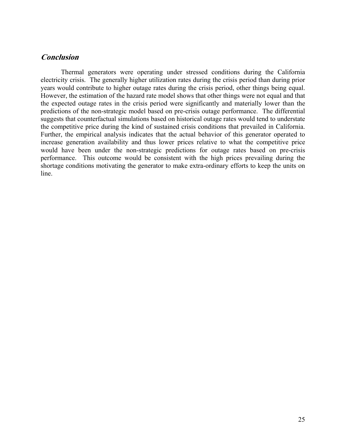# **Conclusion**

 Thermal generators were operating under stressed conditions during the California electricity crisis. The generally higher utilization rates during the crisis period than during prior years would contribute to higher outage rates during the crisis period, other things being equal. However, the estimation of the hazard rate model shows that other things were not equal and that the expected outage rates in the crisis period were significantly and materially lower than the predictions of the non-strategic model based on pre-crisis outage performance. The differential suggests that counterfactual simulations based on historical outage rates would tend to understate the competitive price during the kind of sustained crisis conditions that prevailed in California. Further, the empirical analysis indicates that the actual behavior of this generator operated to increase generation availability and thus lower prices relative to what the competitive price would have been under the non-strategic predictions for outage rates based on pre-crisis performance. This outcome would be consistent with the high prices prevailing during the shortage conditions motivating the generator to make extra-ordinary efforts to keep the units on line.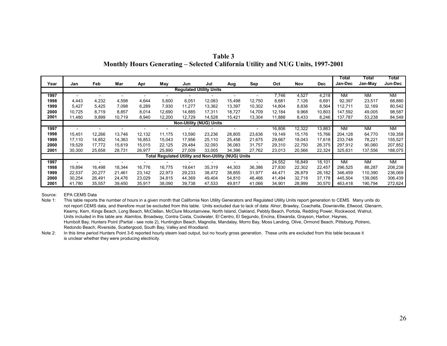|  | Table 3 |                                                                                 |
|--|---------|---------------------------------------------------------------------------------|
|  |         | Monthly Hours Generating – Selected California Utility and NUG Units, 1997-2001 |

|                                |        |            |        |        |        |        |                                                     |        |        |        |        |            | Total     | Total     | Total     |
|--------------------------------|--------|------------|--------|--------|--------|--------|-----------------------------------------------------|--------|--------|--------|--------|------------|-----------|-----------|-----------|
| Year                           | Jan    | <b>Feb</b> | Mar    | Apr    | May    | Jun    | Jul                                                 | Aug    | Sep    | Oct    | Nov    | <b>Dec</b> | Jan-Dec   | Jan-May   | Jun-Dec   |
| <b>Regulated Utility Units</b> |        |            |        |        |        |        |                                                     |        |        |        |        |            |           |           |           |
| 1997                           |        |            |        |        |        |        |                                                     |        |        | 7,746  | 4,527  | 4,218      | <b>NM</b> | <b>NM</b> | <b>NM</b> |
| 1998                           | 4,443  | 4,232      | 4,598  | 4,644  | 5,600  | 6,051  | 12,083                                              | 15,498 | 12,750 | 8,681  | 7,126  | 6,691      | 92,397    | 23,517    | 68,880    |
| 1999                           | 5,427  | 5,425      | 7.098  | 6,289  | 7.930  | 11.277 | 13,362                                              | 13,397 | 10,302 | 14,804 | 8,836  | 8,564      | 112.711   | 32.169    | 80,542    |
| 2000                           | 10,725 | 8.719      | 8,857  | 8,014  | 12,690 | 14.885 | 17,311                                              | 18,727 | 14,709 | 12,184 | 9,968  | 10,803     | 147.592   | 49,005    | 98,587    |
| 2001                           | 11.480 | 9,899      | 10,719 | 8,940  | 12,200 | 12,729 | 14,528                                              | 15.421 | 13,304 | 11,888 | 8,433  | 8,246      | 137,787   | 53,238    | 84,549    |
|                                |        |            |        |        |        |        | <b>Non-Utility (NUG) Units</b>                      |        |        |        |        |            |           |           |           |
| 1997                           |        |            |        |        |        |        |                                                     |        |        | 16,806 | 12,322 | 13,883     | <b>NM</b> | <b>NM</b> | <b>NM</b> |
| 1998                           | 15,451 | 12,266     | 13,746 | 12,132 | 11.175 | 13,590 | 23,236                                              | 28,805 | 23,636 | 19,149 | 15,176 | 15,766     | 204,128   | 64,770    | 139,358   |
| 1999                           | 17,110 | 14,852     | 14,363 | 16,853 | 15,043 | 17,956 | 25,110                                              | 25,458 | 21,675 | 29,667 | 18,043 | 17,618     | 233,748   | 78,221    | 155,527   |
| 2000                           | 19,529 | 17.772     | 15,619 | 15.015 | 22,125 | 29.484 | 32,093                                              | 36,083 | 31.757 | 29,310 | 22,750 | 26,375     | 297.912   | 90.060    | 207,852   |
| 2001                           | 30,300 | 25,658     | 28,731 | 26,977 | 25,890 | 27,009 | 33,005                                              | 34,396 | 27,762 | 23,013 | 20,566 | 22,324     | 325,631   | 137,556   | 188,075   |
|                                |        |            |        |        |        |        | Total Regulated Utility and Non-Utility (NUG) Units |        |        |        |        |            |           |           |           |
| 1997                           |        |            |        |        |        |        |                                                     |        |        | 24,552 | 16,849 | 18,101     | <b>NM</b> | <b>NM</b> | <b>NM</b> |
| 1998                           | 19,894 | 16.498     | 18,344 | 16.776 | 16.775 | 19,641 | 35,319                                              | 44,303 | 36,386 | 27,830 | 22,302 | 22.457     | 296.525   | 88.287    | 208,238   |
| 1999                           | 22,537 | 20,277     | 21,461 | 23,142 | 22,973 | 29,233 | 38,472                                              | 38,855 | 31,977 | 44,471 | 26,879 | 26,182     | 346.459   | 110,390   | 236,069   |
| 2000                           | 30,254 | 26.491     | 24,476 | 23,029 | 34,815 | 44,369 | 49,404                                              | 54,810 | 46,466 | 41,494 | 32,718 | 37,178     | 445,504   | 139,065   | 306,439   |
| 2001                           | 41,780 | 35,557     | 39,450 | 35,917 | 38,090 | 39,738 | 47,533                                              | 49,817 | 41,066 | 34,901 | 28,999 | 30,570     | 463.418   | 190,794   | 272,624   |

Source: EPA CEMS Data

Note 1: This table reports the number of hours in a given month that California Non Utility Generators and Regulated Utility Units report generation to CEMS. Many units do not report CEMS data, and therefore must be excluded from this table. Units excluded due to lack of data: Alnor, Brawley, Coachella, Downieville, Ellwood, Glenarm, Kearny, Kern, Kings Beach, Long Beach, McClellan, McClure Mountainview, North Island, Oakland, Pebbly Beach, Portola, Redding Power, Rockwood, Walnut. Units included in this table are: Alamitos, Broadway, Contra Costa, Coolwater, El Centro, El Segundo, Encina, Etiwanda, Grayson, Harbor, Haynes, Humbolt Bay, Hunters Point (Partial - see note 2), Huntington Beach, Magnolia, Mandalay, Morro Bay, Moss Landing, Olive, Ormond Beach, Pittsburg, Potrero, Redondo Beach, Riverside, Scattergood, South Bay, Valley and Woodland.

Note 2: In this time period Hunters Point 3-6 reported hourly steam load output, but no hourly gross generation. These units are excluded from this table because it is unclear whether they were producing electricity.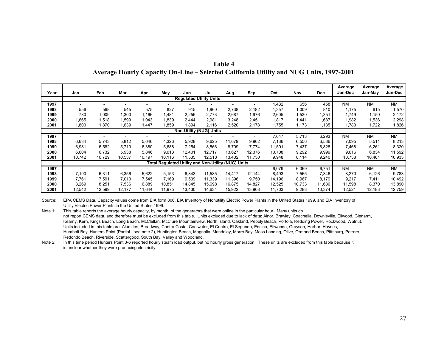| Table 4                                                                                |  |  |  |  |  |  |  |  |  |
|----------------------------------------------------------------------------------------|--|--|--|--|--|--|--|--|--|
| Average Hourly Capacity On-Line – Selected California Utility and NUG Units, 1997-2001 |  |  |  |  |  |  |  |  |  |

| Year                           | Jan    | Feb    | Mar    | Apr    | May    | Jun    | Jul                                                 | Aug    | Sep    | Oct    | Nov    | <b>Dec</b> | Average<br>Jan-Dec | Average<br>Jan-May | Average<br>Jun-Dec |
|--------------------------------|--------|--------|--------|--------|--------|--------|-----------------------------------------------------|--------|--------|--------|--------|------------|--------------------|--------------------|--------------------|
| <b>Regulated Utility Units</b> |        |        |        |        |        |        |                                                     |        |        |        |        |            |                    |                    |                    |
| 1997                           |        |        |        |        |        |        |                                                     |        |        | 1,432  | 656    | 458        | <b>NM</b>          | <b>NM</b>          | NM.                |
| 1998                           | 556    | 568    | 545    | 575    | 827    | 915    | 1,960                                               | 2,738  | 2,182  | 1,357  | 1,009  | 810        | 1,175              | 615                | 1,570              |
| 1999                           | 780    | 1,009  | .300   | 1,166  | 1,481  | 2,256  | 2,773                                               | 2,687  | 1,976  | 2,605  | 1,530  | 1,351      | 1,749              | 1,150              | 2,172              |
| 2000                           | .665   | 1,518  | ,599   | 1,043  | 1,839  | 2,444  | 2,981                                               | 3,248  | 2,451  | 1,817  | 1,441  | 1,687      | 1,982              | 536.               | 2,298              |
| 2001                           | 008,1  | 1,870  | ,639   | 1,447  | .859   | 1,894  | 2,116                                               | 2,520  | 2,178  | 1,755  | 1,173  | 1,135      | 1,783              | 1,722              | 1,826              |
|                                |        |        |        |        |        |        | <b>Non-Utility (NUG) Units</b>                      |        |        |        |        |            |                    |                    |                    |
| 1997                           |        |        |        |        |        |        |                                                     |        |        | 7,647  | 5,713  | 6,293      | <b>NM</b>          | <b>NM</b>          | N <sub>M</sub>     |
| 1998                           | 6,634  | 5,743  | 5,812  | 5,046  | 4,326  | 5,928  | 9,625                                               | 11,679 | 9,962  | 7.136  | 6,556  | 6,536      | 7,095              | 5,511              | 8,213              |
| 1999                           | 6,981  | 6,582  | 5,710  | 6,380  | 5,688  | 7,254  | 8,566                                               | 8,709  | 7,774  | 11,591 | 7,437  | 6,828      | 7,468              | 6,261              | 8,320              |
| 2000                           | 6,604  | 6,732  | 5,938  | 5,846  | 9,013  | 12,401 | 12,717                                              | 13,627 | 12,376 | 10,708 | 9,292  | 9,999      | 9,616              | 6,834              | 11,592             |
| 2001                           | 10,742 | 10,729 | 10,537 | 10,197 | 10.116 | 11.535 | 12,518                                              | 13.402 | 11,730 | 9,948  | 8,114  | 9,240      | 10,738             | 10,461             | 10,933             |
|                                |        |        |        |        |        |        | Total Regulated Utility and Non-Utility (NUG) Units |        |        |        |        |            |                    |                    |                    |
| 1997                           |        |        |        |        |        |        |                                                     |        |        | 9,079  | 6,369  | 6,751      | <b>NM</b>          | <b>NM</b>          | NM.                |
| 1998                           | 7,190  | 6,311  | 6,356  | 5,622  | 5,153  | 6,843  | 11,585                                              | 14,417 | 12,144 | 8,493  | 7,565  | 7,346      | 8,270              | 6,126              | 9,783              |
| 1999                           | 7,761  | 7,591  | 7,010  | 7,545  | 7,169  | 9,509  | 11,339                                              | 11,396 | 9,750  | 14,196 | 8,967  | 8,179      | 9,217              | 7,411              | 10,492             |
| 2000                           | 8,269  | 8,251  | 7,536  | 6,889  | 10,851 | 14,845 | 15,698                                              | 16,875 | 14,827 | 12,525 | 10,733 | 11,686     | 11,598             | 8,370              | 13,890             |
| 2001                           | 12,542 | 12,599 | 12,177 | 11,644 | 11,975 | 13,430 | 14,634                                              | 15,922 | 13,908 | 11,703 | 9,288  | 10,374     | 12,521             | 12,183             | 12,759             |

Source: EPA CEMS Data. Capacity values come from EIA form 806, EIA Inventory of Nonutility Electric Power Plants in the United States 1999, and EIA Inventory of Utility Electric Power Plants in the United States 1999.

Note 1: This table reports the average hourly capacity, by month, of the generators that were online in the particular hour. Many units do not report CEMS data, and therefore must be excluded from this table. Units excluded due to lack of data: Alnor, Brawley, Coachella, Downieville, Ellwood, Glenarm, Kearny, Kern, Kings Beach, Long Beach, McClellan, McClure Mountainview, North Island, Oakland, Pebbly Beach, Portola, Redding Power, Rockwood, Walnut. Units included in this table are: Alamitos, Broadway, Contra Costa, Coolwater, El Centro, El Segundo, Encina, Etiwanda, Grayson, Harbor, Haynes, Humbolt Bay, Hunters Point (Partial - see note 2), Huntington Beach, Magnolia, Mandalay, Morro Bay, Moss Landing, Olive, Ormond Beach, Pittsburg, Potrero, Redondo Beach, Riverside, Scattergood, South Bay, Valley and Woodland.

Note 2: In this time period Hunters Point 3-6 reported hourly steam load output, but no hourly gross generation. These units are excluded from this table because it is unclear whether they were producing electricity.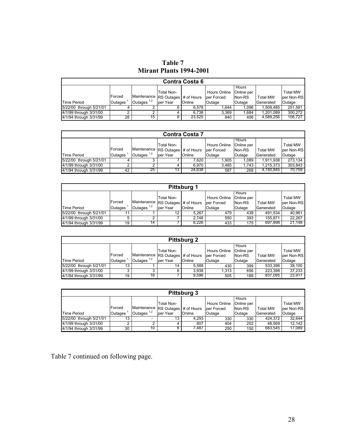**Table 7 Mirant Plants 1994-2001** 

| <b>Contra Costa 6</b>   |                |                                   |            |        |              |            |                  |                 |  |  |  |
|-------------------------|----------------|-----------------------------------|------------|--------|--------------|------------|------------------|-----------------|--|--|--|
|                         |                |                                   |            |        |              | Hours      |                  |                 |  |  |  |
|                         |                |                                   | Total Non- |        | Hours Online | Online per |                  | <b>Total MW</b> |  |  |  |
|                         | <b>IForced</b> | Maintenance RS Outages # of Hours |            |        | lper Forced  | Non-RS     | <b>Total MW</b>  | per Non-RS      |  |  |  |
| <b>Time Period</b>      | <b>Outages</b> | Outages $1,2$                     | lper Year  | Online | lOutage      | Outage     | <b>Generated</b> | Outage          |  |  |  |
| 5/22/00 through 5/21/01 |                |                                   |            | 6.578  | 1.644        | 1.096      | 1.509.485        | 251.581         |  |  |  |
| 4/1/99 through 3/31/00  | ົ              |                                   |            | 6.738  | 3.369        | .684       | 1.201.089        | 300.272         |  |  |  |
| 4/1/94 through 3/31/99  | 28             | 15                                |            | 23.525 | 840          | 406        | 4.589.256        | 106.727         |  |  |  |

| <b>Contra Costa 7</b>   |                |                                   |            |               |              |            |                 |                 |  |  |  |  |
|-------------------------|----------------|-----------------------------------|------------|---------------|--------------|------------|-----------------|-----------------|--|--|--|--|
|                         |                |                                   |            |               |              | Hours      |                 |                 |  |  |  |  |
|                         |                |                                   | Total Non- |               | Hours Online | Online per |                 | <b>Total MW</b> |  |  |  |  |
|                         | <b>IForced</b> | Maintenance RS Outages # of Hours |            |               | lper Forced  | Non-RS     | <b>Total MW</b> | per Non-RS      |  |  |  |  |
| Time Period             | Outages        | Outages $1,2$                     | lper Year  | <b>Online</b> | Outage       | Outage     | Generated       | Outage          |  |  |  |  |
| 5/22/00 through 5/21/01 |                |                                   |            | 7.620         | 1.905        | 0.089      | 1.911.938       | 273.134         |  |  |  |  |
| 4/1/99 through 3/31/00  |                |                                   |            | 6.970         | 3.485        | 1.743      | 1.215.373       | 303.843         |  |  |  |  |
| 4/1/94 through 3/31/99  | 42             | 25                                | 13 I       | 24.638        | 587          | 268        | 4.740.845       | 70.759          |  |  |  |  |

| <b>Pittsburg 1</b>      |                |                                   |                 |        |              |            |                  |                 |  |  |  |  |
|-------------------------|----------------|-----------------------------------|-----------------|--------|--------------|------------|------------------|-----------------|--|--|--|--|
|                         |                |                                   |                 |        |              | Hours      |                  |                 |  |  |  |  |
|                         |                |                                   | Total Non-      |        | Hours Online | Online per |                  | <b>Total MW</b> |  |  |  |  |
|                         | <b>IForced</b> | Maintenance RS Outages # of Hours |                 |        | lper Forced  | Non-RS     | <b>Total MW</b>  | per Non-RS      |  |  |  |  |
| Time Period             | Outages        | lOutages $1,2$                    | lper Year       | Online | Outage       | Outage     | <b>Generated</b> | Outage          |  |  |  |  |
| 5/22/00 through 5/21/01 | 11             |                                   | 12 <sup>2</sup> | 5.267  | 479          | 439        | 491.534          | 40.961          |  |  |  |  |
| 4/1/99 through 3/31/00  | 5              | ົ                                 |                 | 2.748  | 550          | 393        | 155.871          | 22.267          |  |  |  |  |
| 4/1/94 through 3/31/99  | 19             | 14                                |                 | 8.226  | 433          | 175        | 697.898          | 21.148          |  |  |  |  |

| <b>Pittsburg 2</b>      |                |                                   |            |        |              |            |                  |                 |  |
|-------------------------|----------------|-----------------------------------|------------|--------|--------------|------------|------------------|-----------------|--|
|                         |                |                                   |            |        |              | Hours      |                  |                 |  |
|                         |                |                                   | Total Non- |        | Hours Online | Online per |                  | <b>Total MW</b> |  |
|                         | <b>IForced</b> | Maintenance RS Outages # of Hours |            |        | lper Forced  | Non-RS     | <b>Total MW</b>  | per Non-RS      |  |
| <b>Time Period</b>      | <b>Outages</b> | Outages $1,2$                     | lper Year  | Online | Outage       | Outage     | <b>Generated</b> | Outage          |  |
| 5/22/00 through 5/21/01 | 13             |                                   | 14         | 5.588  | 430          | 399        | 533.396          | 38.100          |  |
| 4/1/99 through 3/31/00  | ◠              | 3                                 | 6          | 3.938  | 1.313        | 656        | 223.398          | 37.233          |  |
| 4/1/94 through 3/31/99  | 19             | 16                                |            | 9.596  | 505          | 188        | 837.095          | 23,917          |  |

| <b>Pittsburg 3</b>      |         |                                   |            |        |                     |            |                 |                 |  |
|-------------------------|---------|-----------------------------------|------------|--------|---------------------|------------|-----------------|-----------------|--|
|                         |         |                                   |            |        |                     | Hours      |                 |                 |  |
|                         |         |                                   | Total Non- |        | <b>Hours Online</b> | Online per |                 | <b>Total MW</b> |  |
|                         | Forced  | Maintenance RS Outages # of Hours |            |        | lper Forced         | Non-RS     | <b>Total MW</b> | per Non-RS      |  |
| <b>Time Period</b>      | Outages | Outages $1,2$                     | lper Year  | Online | Outage              | Outage     | Generated       | Outage          |  |
| 5/22/00 through 5/21/01 | 13      |                                   | 13         | 4.293  | 330                 | 330        | 424.372         | 32.644          |  |
| 4/1/99 through 3/31/00  |         |                                   |            | 807    | 404                 | 202        | 48.569          | 12.142          |  |
| 4/1/94 through 3/31/99  | 30      | 10                                |            | 7.487  | 250                 | 150        | 683.545         | 17.089          |  |

Table 7 continued on following page.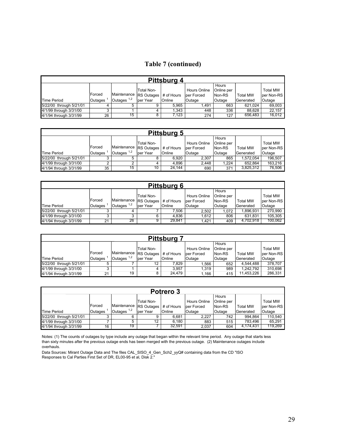# **Table 7 (continued)**

| Pittsburg 4             |         |                            |            |            |               |            |                 |                 |
|-------------------------|---------|----------------------------|------------|------------|---------------|------------|-----------------|-----------------|
|                         |         |                            |            |            |               | Hours      |                 |                 |
|                         |         |                            | Total Non- |            | Hours Online  | Online per |                 | <b>Total MW</b> |
|                         | Forced  | Maintenance   RS Outages ' |            | # of Hours | lper Forced   | Non-RS     | <b>Total MW</b> | per Non-RS      |
| Time Period             | Outages | Outages $1,2$              | lper Year  | Online     | <b>Outage</b> | Outage     | Generated       | Outage          |
| 5/22/00 through 5/21/01 | 4       | 5                          | 9          | 5.965      | 1.491         | 663        | 621.024         | 69,003          |
| 4/1/99 through 3/31/00  | ົ<br>۰J |                            |            | 1.343      | 448           | 336        | 88.628          | 22.157          |
| 4/1/94 through 3/31/99  | 26      | 15                         |            | 7.123      | 274           | 127        | 656.483         | 16,012          |

| <b>Pittsburg 5</b>      |         |                          |            |            |              |            |                 |                 |
|-------------------------|---------|--------------------------|------------|------------|--------------|------------|-----------------|-----------------|
|                         |         |                          |            |            |              | Hours      |                 |                 |
|                         |         |                          | Total Non- |            | Hours Online | Online per |                 | <b>Total MW</b> |
|                         | Forced  | Maintenance   RS Outages |            | # of Hours | lper Forced  | Non-RS     | <b>Total MW</b> | per Non-RS      |
| Time Period             | Outages | Outages $1,2$            | lper Year  | Online     | Outage       | Outage     | Generated       | Outage          |
| 5/22/00 through 5/21/01 | 3       | 5                        |            | 6.920      | 2.307        | 865        | 1.572.054       | 196.507         |
| 4/1/99 through 3/31/00  | ົ       | ↷                        |            | 4.896      | 2.448        | 1.224      | 652.864         | 163.216         |
| 4/1/94 through 3/31/99  | 35      | 15                       | 10         | 24.144     | 690          | 371        | 3.825.312       | 76.506          |

| <b>Pittsburg 6</b>      |               |                          |            |            |                             |                               |                  |                                |  |
|-------------------------|---------------|--------------------------|------------|------------|-----------------------------|-------------------------------|------------------|--------------------------------|--|
|                         | <b>Forced</b> | Maintenance   RS Outages | Total Non- | # of Hours | Hours Online<br>lper Forced | Hours<br>Online per<br>Non-RS | <b>Total MW</b>  | <b>Total MW</b><br>lper Non-RS |  |
| <b>Time Period</b>      | Outages       | Outages $1,2$            | lper Year  | Online     | Outage                      | Outage                        | <b>Generated</b> | Outage                         |  |
| 5/22/00 through 5/21/01 | 3             |                          |            | 7.506      | 2.502                       | 1.072                         | .896.931         | 270.990                        |  |
| 4/1/99 through 3/31/00  | ົ             | 3                        | 6          | 4.836      | 1.612                       | 806                           | 631.831          | 105,305                        |  |
| 4/1/94 through 3/31/99  | 21            | 26                       |            | 29.841     | 1.421                       | 409                           | 4.702.918        | 100,062                        |  |

| <b>Pittsburg</b>        |         |                          |            |            |              |            |                 |                 |
|-------------------------|---------|--------------------------|------------|------------|--------------|------------|-----------------|-----------------|
|                         |         |                          |            |            |              | Hours      |                 |                 |
|                         |         |                          | Total Non- |            | Hours Online | Online per |                 | <b>Total MW</b> |
|                         | Forced  | Maintenance   RS Outages |            | # of Hours | lper Forced  | Non-RS     | <b>Total MW</b> | per Non-RS      |
| Time Period             | Outages | Outages $1,2$            | lper Year  | Online     | Outage       | Outage     | Generated       | Outage          |
| 5/22/00 through 5/21/01 | 5       |                          | 12         | 7.829      | .566         | 652        | 4.544.488       | 378.707         |
| 4/1/99 through 3/31/00  | ົ<br>د. |                          |            | 3.957      | 1.319        | 989        | 1.242.792       | 310,698         |
| 4/1/94 through 3/31/99  | 21      | 19                       | 8          | 24.479     | l.166        | 415        | 11.453.226      | 286,331         |

| Potrero 3               |         |                          |                   |            |              |            |                 |                 |
|-------------------------|---------|--------------------------|-------------------|------------|--------------|------------|-----------------|-----------------|
|                         |         |                          |                   |            |              | Hours      |                 |                 |
|                         |         |                          | Total Non-        |            | Hours Online | Online per |                 | <b>Total MW</b> |
|                         | Forced  | Maintenance   RS Outages |                   | # of Hours | lper Forced  | Non-RS     | <b>Total MW</b> | lper Non-RS     |
| Time Period             | Outages | 1,2<br><b>Outages</b>    | lper Year         | Online     | Outage       | Outage     | Generated       | Outage          |
| 5/22/00 through 5/21/01 | 3       | 6                        | 9                 | 6.681      | 2.227        | 742        | 994.864         | 110.540         |
| 4/1/99 through 3/31/00  |         | 5                        | $12 \overline{ }$ | 6.180      | 883          | 515        | 783.496         | 65.291          |
| 4/1/94 through 3/31/99  | 16      | 19                       |                   | 32.591     | 2.037        | 604        | 4.174.431       | 119.269         |

Notes: (1) The counts of outages by type include any outage that began within the relevant time period. Any outage that starts less than sixty minutes after the previous outage ends has been merged with the previous outage. (2) Maintenance outages include overhauls.

Data Sources: Mirant Outage Data and The files CAL\_SISO\_4\_Gen\_Sch2\_yyQ# containing data from the CD "ISO Responses to Cal Parties First Set of DR, EL00-95 et al, Disk 2."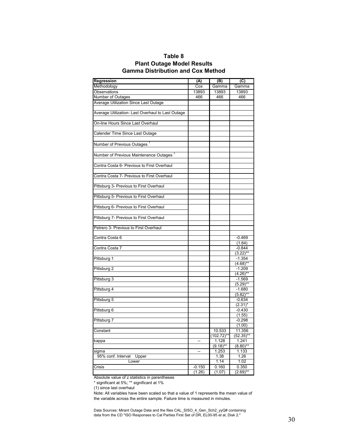### **Table 8 Plant Outage Model Results Gamma Distribution and Cox Method**

| Regression                                          | (A)                      | (B)         | (C)                |
|-----------------------------------------------------|--------------------------|-------------|--------------------|
| Methodology                                         | Cox                      | Gamma       | Gamma              |
| Observations                                        | 13893                    | 13893       | 13893              |
| Number of Outages                                   | 466                      | 466         | 466                |
| Average Utilization Since Last Outage               |                          |             |                    |
|                                                     |                          |             |                    |
| Average Utilization- Last Overhaul to Last Outage   |                          |             |                    |
|                                                     |                          |             |                    |
| On-line Hours Since Last Overhaul                   |                          |             |                    |
|                                                     |                          |             |                    |
| Calender Time Since Last Outage                     |                          |             |                    |
|                                                     |                          |             |                    |
| Number of Previous Outages                          |                          |             |                    |
|                                                     |                          |             |                    |
| Number of Previous Maintenance Outages <sup>1</sup> |                          |             |                    |
|                                                     |                          |             |                    |
| Contra Costa 6- Previous to First Overhaul          |                          |             |                    |
|                                                     |                          |             |                    |
| Contra Costa 7- Previous to First Overhaul          |                          |             |                    |
|                                                     |                          |             |                    |
| Pittsburg 3- Previous to First Overhaul             |                          |             |                    |
|                                                     |                          |             |                    |
| Pittsburg 5- Previous to First Overhaul             |                          |             |                    |
|                                                     |                          |             |                    |
| Pittsburg 6- Previous to First Overhaul             |                          |             |                    |
|                                                     |                          |             |                    |
| Pittsburg 7- Previous to First Overhaul             |                          |             |                    |
|                                                     |                          |             |                    |
| Petrero 3- Previous to First Overhaul               |                          |             |                    |
|                                                     |                          |             |                    |
| Contra Costa 6                                      |                          |             | $-0.469$           |
|                                                     |                          |             | (1.64)             |
| Contra Costa 7                                      |                          |             | $-0.844$           |
|                                                     |                          |             | $(3.22)$ **        |
| Pittsburg 1                                         |                          |             | $-1.354$           |
|                                                     |                          |             | $(4.68)$ **        |
| Pittsburg 2                                         |                          |             | $-1.209$           |
|                                                     |                          |             | $(4.26)$ **        |
| Pittsburg 3                                         |                          |             | $-1.569$           |
|                                                     |                          |             | $(5.29)$ **        |
| Pittsburg 4                                         |                          |             | $-1.680$           |
|                                                     |                          |             | $(5.82)$ **        |
| Pittsburg 5                                         |                          |             | $-0.634$           |
|                                                     |                          |             | $(2.31)^*$         |
| Pittsburg 6                                         |                          |             | $-0.430$           |
| Pittsburg 7                                         |                          |             | (1.55)<br>$-0.298$ |
|                                                     |                          |             | (1.00)             |
|                                                     |                          | 10.533      | 11.356             |
| Constant                                            |                          | (102.72)**  | $(52.35)$ **       |
|                                                     | Ξ.                       | 1.128       | 1.241              |
| kappa                                               |                          | $(9.18)$ ** | $(8.80)$ **        |
| sigma                                               | $\overline{\phantom{a}}$ | 1.253       | 1.133              |
| 95% conf. Interval<br>Upper                         |                          | 1.38        | 1.26               |
| Lower                                               |                          | 1.14        | 1.02               |
| Crisis                                              | $-0.150$                 | 0.160       | 0.350              |
|                                                     | (1.26)                   | (1.07)      | $(2.69)$ **        |
|                                                     |                          |             |                    |

Absolute value of z statistics in parentheses

\* significant at 5%; \*\* significant at 1%

(1) since last overhaul

Note: All variables have been scaled so that a value of 1 represents the mean value of the variable across the entire sample. Failure time is measured in minutes.

Data Sources: Mirant Outage Data and the files CAL\_SISO\_4\_Gen\_Sch2\_yyQ# containing data from the CD "ISO Responses to Cal Parties First Set of DR, EL00-95 et al, Disk 2."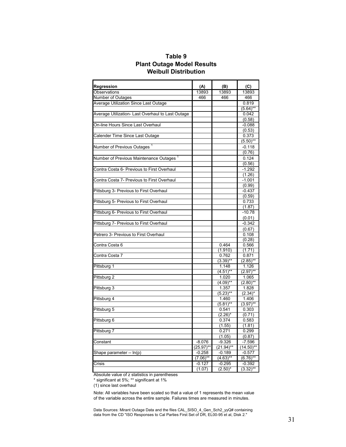### **Table 9 Plant Outage Model Results Weibull Distribution**

| Regression                                          | (A)          | (B)          | (C)          |
|-----------------------------------------------------|--------------|--------------|--------------|
| Observations                                        | 13893        | 13893        | 13893        |
| Number of Outages                                   | 466          | 466          | 466          |
| Average Utilization Since Last Outage               |              |              | 0.819        |
|                                                     |              |              | $(5.64)$ **  |
| Average Utilization- Last Overhaul to Last Outage   |              |              | 0.042        |
|                                                     |              |              | (0.58)       |
| On-line Hours Since Last Overhaul                   |              |              | $-0.088$     |
|                                                     |              |              | (0.53)       |
| Calender Time Since Last Outage                     |              |              | 0.373        |
|                                                     |              |              | $(5.50)$ **  |
| Number of Previous Outages                          |              |              | $-0.118$     |
|                                                     |              |              | (0.76)       |
| Number of Previous Maintenance Outages <sup>1</sup> |              |              | 0.124        |
|                                                     |              |              | (0.56)       |
| Contra Costa 6- Previous to First Overhaul          |              |              | $-1.292$     |
|                                                     |              |              | (1.26)       |
| Contra Costa 7- Previous to First Overhaul          |              |              | $-1.001$     |
|                                                     |              |              | (0.99)       |
| Pittsburg 3- Previous to First Overhaul             |              |              | $-0.437$     |
|                                                     |              |              | (0.59)       |
| Pittsburg 5- Previous to First Overhaul             |              |              | 0.733        |
|                                                     |              |              | (1.87)       |
| Pittsburg 6- Previous to First Overhaul             |              |              | $-10.78$     |
|                                                     |              |              | (0.01)       |
| Pittsburg 7- Previous to First Overhaul             |              |              | $-0.342$     |
|                                                     |              |              | (0.67)       |
| Petrero 3- Previous to First Overhaul               |              |              | 0.108        |
|                                                     |              |              | (0.28)       |
| Contra Costa 6                                      |              | 0.464        | 0.566        |
|                                                     |              | (1.910)      | (1.71)       |
| Contra Costa 7                                      |              | 0.762        | 0.871        |
|                                                     |              | $(3.39)$ **  | $(2.85)$ **  |
| Pittsburg 1                                         |              | 1.148        | 1.126        |
|                                                     |              | $(4.51)$ **  | $(2.97)$ **  |
| Pittsburg 2                                         |              | 1.020        | 1.065        |
|                                                     |              | $(4.09)$ **  | $(2.80)$ **  |
| Pittsburg 3                                         |              | 1.357        | 1.828        |
|                                                     |              | $(5.23)$ **  | $(2.34)^*$   |
| Pittsburg 4                                         |              | 1.460        | 1.406        |
|                                                     |              | $(5.81)$ **  | $(3.97)$ **  |
| Pittsburg 5                                         |              | 0.541        | 0.303        |
|                                                     |              | $(2.26)^*$   | (0.71)       |
| Pittsburg 6                                         |              | 0.374        | 0.583        |
|                                                     |              | (1.55)       | (1.81)       |
| Pittsburg 7                                         |              | 0.271        | 0.299        |
|                                                     |              | (1.05)       | (0.87)       |
| Constant                                            | $-8.076$     | $-9.326$     | $-7.596$     |
|                                                     | $(25.97)$ ** | $(21.94)$ ** | $(14.50)$ ** |
| Shape parameter -- In(p)                            | $-0.258$     | $-0.189$     | $-0.577$     |
|                                                     | $(7.06)$ **  | $(4.63)$ **  | $(6.76)$ **  |
| Crisis                                              | $-0.127$     | $-0.295$     | $-0.392$     |
|                                                     | (1.07)       | $(2.50)^*$   | $(3.32)$ **  |
|                                                     |              |              |              |

Absolute value of z statistics in parentheses

\* significant at 5%; \*\* significant at 1%

(1) since last overhaul

Note: All variables have been scaled so that a value of 1 represents the mean value of the variable across the entire sample. Failures times are measured in minutes.

Data Sources: Mirant Outage Data and the files CAL\_SISO\_4\_Gen\_Sch2\_yyQ# containing data from the CD "ISO Responses to Cal Parties First Set of DR, EL00-95 et al, Disk 2."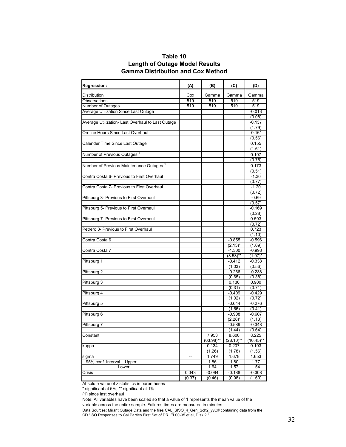| Table 10                              |  |
|---------------------------------------|--|
| <b>Length of Outage Model Results</b> |  |
| Gamma Distribution and Cox Method     |  |

| <b>Regression:</b>                                  | (A)    | (B)                   | (C)                | (D)                   |
|-----------------------------------------------------|--------|-----------------------|--------------------|-----------------------|
| Distribution                                        | Cox    | Gamma                 | Gamma              | Gamma                 |
| Observations                                        | 519    | 519                   | 519                | 519                   |
| Number of Outages                                   | 519    | 519                   | 519                | 519                   |
| Average Utilization Since Last Outage               |        |                       |                    | $-0.013$              |
|                                                     |        |                       |                    | (0.08)                |
| Average Utilization- Last Overhaul to Last Outage   |        |                       |                    | $-0.137$              |
|                                                     |        |                       |                    | (1.79)                |
| On-line Hours Since Last Overhaul                   |        |                       |                    | $-0.161$              |
|                                                     |        |                       |                    | (0.56)                |
| Calender Time Since Last Outage                     |        |                       |                    | 0.155                 |
|                                                     |        |                       |                    | (1.61)                |
| Number of Previous Outages <sup>1</sup>             |        |                       |                    | 0.197                 |
|                                                     |        |                       |                    | (0.76)                |
| Number of Previous Maintenance Outages <sup>1</sup> |        |                       |                    | 0.173                 |
|                                                     |        |                       |                    | (0.51)                |
| Contra Costa 6- Previous to First Overhaul          |        |                       |                    | $-1.30$               |
|                                                     |        |                       |                    | (0.77)                |
| Contra Costa 7- Previous to First Overhaul          |        |                       |                    | $-1.20$               |
|                                                     |        |                       |                    | (0.72)                |
| Pittsburg 3- Previous to First Overhaul             |        |                       |                    | $-0.69$               |
|                                                     |        |                       |                    | (0.57)                |
| Pittsburg 5- Previous to First Overhaul             |        |                       |                    | $-0.169$              |
|                                                     |        |                       |                    | (0.28)                |
| Pittsburg 7- Previous to First Overhaul             |        |                       |                    | 0.593                 |
|                                                     |        |                       |                    | (0.72)                |
| Petrero 3- Previous to First Overhaul               |        |                       |                    | 0.723                 |
|                                                     |        |                       |                    | (1.10)                |
| Contra Costa 6                                      |        |                       | $-0.855$           | $-0.596$              |
|                                                     |        |                       | $(2.13)^*$         | (1.09)                |
| Contra Costa 7                                      |        |                       | $-1.300$           | $-0.998$              |
|                                                     |        |                       | $(3.53)$ **        | $(1.97)^*$            |
| Pittsburg 1                                         |        |                       | $-0.412$           | $-0.338$              |
|                                                     |        |                       | (1.03)             | (0.56)                |
| Pittsburg 2                                         |        |                       | $-0.266$           | $-0.238$              |
|                                                     |        |                       | (0.65)             | (0.38)                |
| Pittsburg 3                                         |        |                       | 0.130              | 0.900                 |
|                                                     |        |                       | (0.31)             | (0.71)                |
| Pittsburg 4                                         |        |                       | $-0.409$           | $-0.429$              |
|                                                     |        |                       | (1.02)             | (0.72)                |
| Pittsburg 5                                         |        |                       | $-0.644$           | $-0.276$              |
|                                                     |        |                       | (1.66)             | (0.41)                |
| Pittsburg 6                                         |        |                       | $-0.908$           | $-0.607$              |
| Pittsburg 7                                         |        |                       | $(2.28)^*$         | (1.13)<br>$-0.348$    |
|                                                     |        |                       | $-0.589$<br>(1.44) | (0.64)                |
|                                                     |        |                       |                    |                       |
| Constant                                            |        | 7.953<br>$(63.98)$ ** | 8.600<br>(28.10)** | 8.225<br>$(16.45)$ ** |
| kappa                                               | --     | 0.134                 | 0.207              | 0.193                 |
|                                                     |        | (1.26)                | (1.78)             | (1.56)                |
| sigma                                               | --     | 1.749                 | 1.678              | 1.653                 |
| 95% conf. Interval<br>Upper                         |        | 1.86                  | 1.80               | 1.77                  |
| Lower                                               |        | 1.64                  | 1.57               | 1.54                  |
| Crisis                                              | 0.043  | $-0.094$              | $-0.188$           | $-0.308$              |
|                                                     | (0.37) | (0.46)                | (0.98)             | (1.60)                |

Absolute value of z statistics in parentheses

\* significant at 5%; \*\* significant at 1%

(1) since last overhaul

Note: All variables have been scaled so that a value of 1 represents the mean value of the variable across the entire sample. Failures times are measured in minutes.

Data Sources: Mirant Outage Data and the files CAL\_SISO\_4\_Gen\_Sch2\_yyQ# containing data from the CD "ISO Responses to Cal Parties First Set of DR, EL00-95 et al, Disk 2."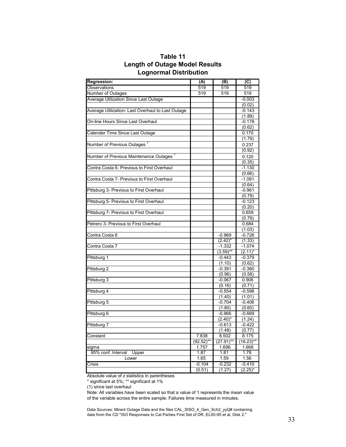| ∟וטוויטווועו דיטווויטוו                             |              |             |              |
|-----------------------------------------------------|--------------|-------------|--------------|
| <b>Regression:</b>                                  | (A)          | (B)         | (C)          |
| <b>Observations</b>                                 | 519          | 519         | 519          |
| <b>Number of Outages</b>                            | 519          | 519         | 519          |
| Average Utilization Since Last Outage               |              |             | $-0.003$     |
|                                                     |              |             | (0.02)       |
| Average Utilization- Last Overhaul to Last Outage   |              |             | $-0.143$     |
|                                                     |              |             | (1.89)       |
| On-line Hours Since Last Overhaul                   |              |             | $-0.178$     |
|                                                     |              |             | (0.62)       |
| Calender Time Since Last Outage                     |              |             | 0.170        |
|                                                     |              |             | (1.79)       |
| Number of Previous Outages <sup>1</sup>             |              |             | 0.237        |
|                                                     |              |             | (0.92)       |
| Number of Previous Maintenance Outages <sup>1</sup> |              |             | 0.120        |
|                                                     |              |             | (0.35)       |
| Contra Costa 6- Previous to First Overhaul          |              |             | $-1.130$     |
|                                                     |              |             | (0.66)       |
| Contra Costa 7- Previous to First Overhaul          |              |             | $-1.081$     |
|                                                     |              |             | (0.64)       |
| Pittsburg 3- Previous to First Overhaul             |              |             | $-0.961$     |
|                                                     |              |             | (0.79)       |
| Pittsburg 5- Previous to First Overhaul             |              |             | $-0.123$     |
|                                                     |              |             | (0.20)       |
| Pittsburg 7- Previous to First Overhaul             |              |             | 0.659        |
|                                                     |              |             | (0.79)       |
| Petrero 3- Previous to First Overhaul               |              |             | 0.684        |
|                                                     |              |             | (1.03)       |
| Contra Costa 6                                      |              | $-0.969$    | $-0.726$     |
|                                                     |              | $(2.42)^*$  | (1.33)       |
| Contra Costa 7                                      |              | $-1.332$    | $-1.074$     |
|                                                     |              | $(3.59)$ ** | $(2.11)^*$   |
| Pittsburg 1                                         |              | $-0.443$    | $-0.379$     |
|                                                     |              | (1.10)      | (0.62)       |
| Pittsburg 2                                         |              | $-0.391$    | $-0.360$     |
|                                                     |              | (0.96)      | (0.58)       |
| Pittsburg 3                                         |              | $-0.067$    | 0.906        |
|                                                     |              | (0.16)      | (0.71)       |
| Pittsburg 4                                         |              | $-0.554$    | $-0.598$     |
|                                                     |              | (1.40)      | (1.01)       |
| Pittsburg 5                                         |              | $-0.704$    | $-0.406$     |
|                                                     |              | (1.80)      | (0.60)       |
| Pittsburg 6                                         |              | $-0.966$    | $-0.669$     |
|                                                     |              | $(2.40)^*$  | (1.24)       |
| Pittsburg 7                                         |              | $-0.613$    | $-0.422$     |
|                                                     |              | (1.48)      | (0.77)       |
| Constant                                            | 7.838        | 8.502       | 8.175        |
|                                                     | $(92.52)$ ** | (27.91)**   | $(16.23)$ ** |
| sigma                                               | 1.757        | 1.696       | 1.668        |
| 95% conf. Interval<br>Upper                         | 1.87         | 1.81        | 1.78         |
| Lower                                               | 1.65         | 1.59        | 1.56         |
| Crisis                                              | $-0.104$     | $-0.232$    | -0.410       |
|                                                     | (0.51)       | (1.27)      | $(2.25)^*$   |

**Table 11 Length of Outage Model Results Lognormal Distribution**

Absolute value of z statistics in parentheses

\* significant at 5%; \*\* significant at 1%

(1) since last overhaul

Note: All variables have been scaled so that a value of 1 represents the mean value of the variable across the entire sample. Failures time measured in minutes.

Data Sources: Mirant Outage Data and the files CAL\_SISO\_4\_Gen\_Sch2\_yyQ# containing data from the CD "ISO Responses to Cal Parties First Set of DR, EL00-95 et al, Disk 2."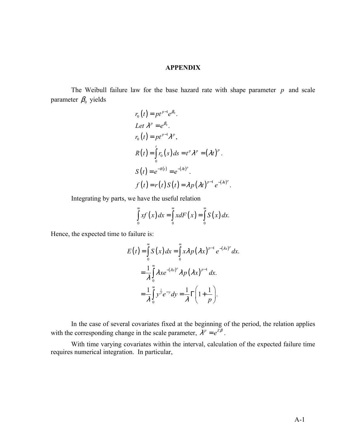### **APPENDIX**

The Weibull failure law for the base hazard rate with shape parameter  $p$  and scale parameter  $\beta_0$  yields

$$
r_0(t) = pt^{p-1}e^{\beta_0}.
$$
  
Let  $\lambda^p = e^{\beta_0}$ .  

$$
r_0(t) = pt^{p-1}\lambda^p,
$$

$$
R(t) = \int_0^t r_0(s) ds = t^p \lambda^p = (\lambda t)^p.
$$

$$
S(t) = e^{-R(t)} = e^{-(\lambda t)^p}.
$$

$$
f(t) = r(t)S(t) = \lambda p(\lambda t)^{p-1} e^{-(\lambda t)^p}.
$$

Integrating by parts, we have the useful relation

$$
\int_{0}^{\infty} x f(x) dx = \int_{0}^{\infty} x dF(x) = \int_{0}^{\infty} S(x) dx.
$$

Hence, the expected time to failure is:

$$
E(t) = \int_{0}^{\infty} S(x) dx = \int_{0}^{\infty} x \lambda p (\lambda x)^{p-1} e^{-(\lambda x)^p} dx.
$$
  

$$
= \frac{1}{\lambda} \int_{0}^{\infty} \lambda x e^{-(\lambda x)^p} \lambda p (\lambda x)^{p-1} dx.
$$
  

$$
= \frac{1}{\lambda} \int_{0}^{\infty} y^{\frac{1}{p}} e^{-y} dy = \frac{1}{\lambda} \Gamma\left(1 + \frac{1}{p}\right).
$$

 In the case of several covariates fixed at the beginning of the period, the relation applies with the corresponding change in the scale parameter,  $\lambda^p = e^{Z\beta}$ .

 With time varying covariates within the interval, calculation of the expected failure time requires numerical integration. In particular,